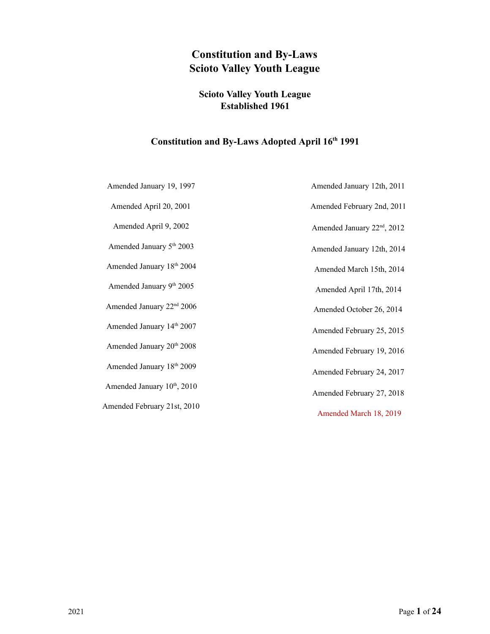# **Constitution and By-Laws Scioto Valley Youth League**

## **Scioto Valley Youth League Established 1961**

## Constitution and By-Laws Adopted April 16<sup>th</sup> 1991

Amended January 19, 1997

Amended April 20, 2001

Amended April 9, 2002

Amended January 5<sup>th</sup> 2003

Amended January 18 th 2004

Amended January 9<sup>th</sup> 2005

Amended January 22<sup>nd</sup> 2006

Amended January 14 th 2007

Amended January 20<sup>th</sup> 2008

Amended January 18 th 2009

Amended January 10<sup>th</sup>, 2010

Amended February 21st, 2010

Amended January 12th, 2011 Amended February 2nd, 2011 Amended January 22<sup>nd</sup>, 2012 Amended January 12th, 2014 Amended March 15th, 2014 Amended April 17th, 2014 Amended October 26, 2014 Amended February 25, 2015 Amended February 19, 2016 Amended February 24, 2017 Amended February 27, 2018 Amended March 18, 2019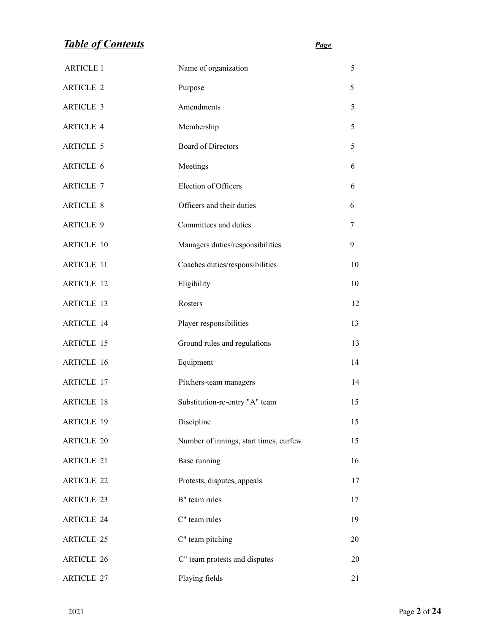# *Table of Contents Page*

| <b>ARTICLE 1</b>  | Name of organization                   | 5  |
|-------------------|----------------------------------------|----|
| <b>ARTICLE 2</b>  | Purpose                                | 5  |
| <b>ARTICLE 3</b>  | Amendments                             | 5  |
| <b>ARTICLE 4</b>  | Membership                             | 5  |
| <b>ARTICLE 5</b>  | <b>Board of Directors</b>              | 5  |
| ARTICLE 6         | Meetings                               | 6  |
| <b>ARTICLE 7</b>  | Election of Officers                   | 6  |
| <b>ARTICLE 8</b>  | Officers and their duties              | 6  |
| <b>ARTICLE 9</b>  | Committees and duties                  | 7  |
| <b>ARTICLE 10</b> | Managers duties/responsibilities       | 9  |
| <b>ARTICLE 11</b> | Coaches duties/responsibilities        | 10 |
| <b>ARTICLE 12</b> | Eligibility                            | 10 |
| <b>ARTICLE 13</b> | Rosters                                | 12 |
| <b>ARTICLE 14</b> | Player responsibilities                | 13 |
| <b>ARTICLE 15</b> | Ground rules and regulations           | 13 |
| <b>ARTICLE 16</b> | Equipment                              | 14 |
| <b>ARTICLE 17</b> | Pitchers-team managers                 | 14 |
| <b>ARTICLE 18</b> | Substitution-re-entry "A" team         | 15 |
| <b>ARTICLE 19</b> | Discipline                             | 15 |
| <b>ARTICLE 20</b> | Number of innings, start times, curfew | 15 |
| <b>ARTICLE 21</b> | Base running                           | 16 |
| <b>ARTICLE 22</b> | Protests, disputes, appeals            | 17 |
| <b>ARTICLE 23</b> | B" team rules                          | 17 |
| <b>ARTICLE 24</b> | C" team rules                          | 19 |
| <b>ARTICLE 25</b> | C" team pitching                       | 20 |
| <b>ARTICLE 26</b> | C" team protests and disputes          | 20 |
| <b>ARTICLE 27</b> | Playing fields                         | 21 |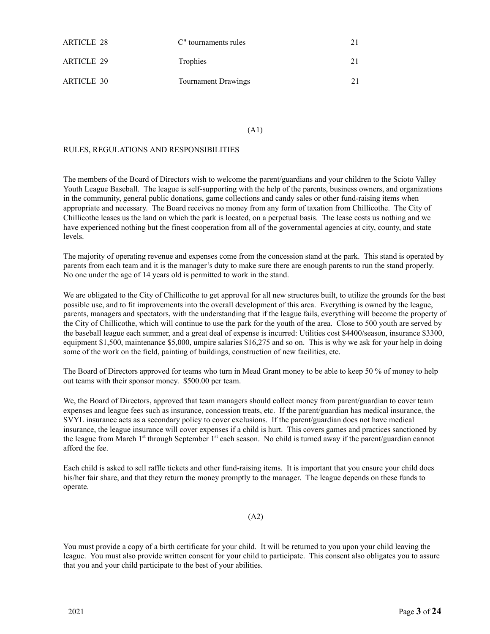| <b>ARTICLE 28</b> | C" tournaments rules |  |
|-------------------|----------------------|--|
| ARTICLE 29        | <b>Trophies</b>      |  |
| <b>ARTICLE 30</b> | Tournament Drawings  |  |

#### (A1)

## RULES, REGULATIONS AND RESPONSIBILITIES

The members of the Board of Directors wish to welcome the parent/guardians and your children to the Scioto Valley Youth League Baseball. The league is self-supporting with the help of the parents, business owners, and organizations in the community, general public donations, game collections and candy sales or other fund-raising items when appropriate and necessary. The Board receives no money from any form of taxation from Chillicothe. The City of Chillicothe leases us the land on which the park is located, on a perpetual basis. The lease costs us nothing and we have experienced nothing but the finest cooperation from all of the governmental agencies at city, county, and state levels.

The majority of operating revenue and expenses come from the concession stand at the park. This stand is operated by parents from each team and it is the manager's duty to make sure there are enough parents to run the stand properly. No one under the age of 14 years old is permitted to work in the stand.

We are obligated to the City of Chillicothe to get approval for all new structures built, to utilize the grounds for the best possible use, and to fit improvements into the overall development of this area. Everything is owned by the league, parents, managers and spectators, with the understanding that if the league fails, everything will become the property of the City of Chillicothe, which will continue to use the park for the youth of the area. Close to 500 youth are served by the baseball league each summer, and a great deal of expense is incurred: Utilities cost \$4400/season, insurance \$3300, equipment \$1,500, maintenance \$5,000, umpire salaries \$16,275 and so on. This is why we ask for your help in doing some of the work on the field, painting of buildings, construction of new facilities, etc.

The Board of Directors approved for teams who turn in Mead Grant money to be able to keep 50 % of money to help out teams with their sponsor money. \$500.00 per team.

We, the Board of Directors, approved that team managers should collect money from parent/guardian to cover team expenses and league fees such as insurance, concession treats, etc. If the parent/guardian has medical insurance, the SVYL insurance acts as a secondary policy to cover exclusions. If the parent/guardian does not have medical insurance, the league insurance will cover expenses if a child is hurt. This covers games and practices sanctioned by the league from March 1<sup>st</sup> through September 1<sup>st</sup> each season. No child is turned away if the parent/guardian cannot afford the fee.

Each child is asked to sell raffle tickets and other fund-raising items. It is important that you ensure your child does his/her fair share, and that they return the money promptly to the manager. The league depends on these funds to operate.

### (A2)

You must provide a copy of a birth certificate for your child. It will be returned to you upon your child leaving the league. You must also provide written consent for your child to participate. This consent also obligates you to assure that you and your child participate to the best of your abilities.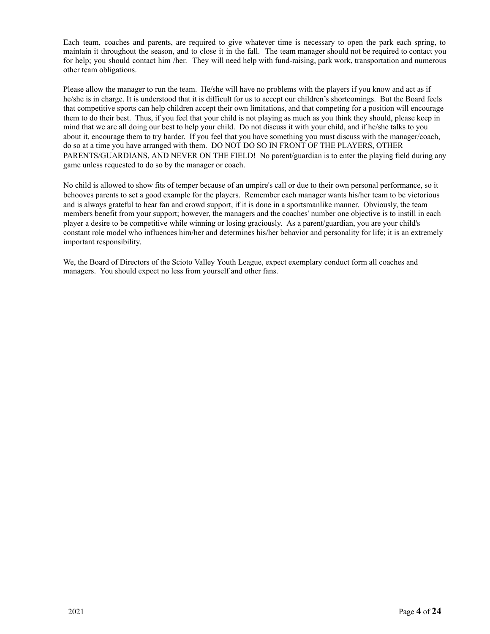Each team, coaches and parents, are required to give whatever time is necessary to open the park each spring, to maintain it throughout the season, and to close it in the fall. The team manager should not be required to contact you for help; you should contact him /her. They will need help with fund-raising, park work, transportation and numerous other team obligations.

Please allow the manager to run the team. He/she will have no problems with the players if you know and act as if he/she is in charge. It is understood that it is difficult for us to accept our children's shortcomings. But the Board feels that competitive sports can help children accept their own limitations, and that competing for a position will encourage them to do their best. Thus, if you feel that your child is not playing as much as you think they should, please keep in mind that we are all doing our best to help your child. Do not discuss it with your child, and if he/she talks to you about it, encourage them to try harder. If you feel that you have something you must discuss with the manager/coach, do so at a time you have arranged with them. DO NOT DO SO IN FRONT OF THE PLAYERS, OTHER PARENTS/GUARDIANS, AND NEVER ON THE FIELD! No parent/guardian is to enter the playing field during any game unless requested to do so by the manager or coach.

No child is allowed to show fits of temper because of an umpire's call or due to their own personal performance, so it behooves parents to set a good example for the players. Remember each manager wants his/her team to be victorious and is always grateful to hear fan and crowd support, if it is done in a sportsmanlike manner. Obviously, the team members benefit from your support; however, the managers and the coaches' number one objective is to instill in each player a desire to be competitive while winning or losing graciously. As a parent/guardian, you are your child's constant role model who influences him/her and determines his/her behavior and personality for life; it is an extremely important responsibility.

We, the Board of Directors of the Scioto Valley Youth League, expect exemplary conduct form all coaches and managers. You should expect no less from yourself and other fans.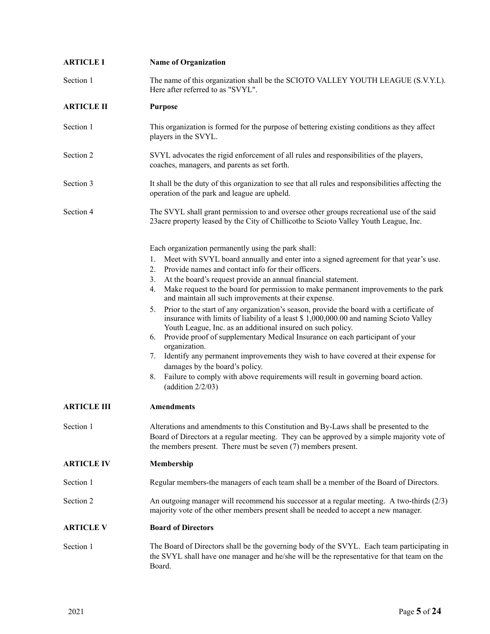| <b>ARTICLE I</b>   | <b>Name of Organization</b>                                                                                                                                                                                                                                                                                                                                                                                                                                                                                                                                                                                                                                                                                                                                                                                                                                                                                                                                                                                                                                |
|--------------------|------------------------------------------------------------------------------------------------------------------------------------------------------------------------------------------------------------------------------------------------------------------------------------------------------------------------------------------------------------------------------------------------------------------------------------------------------------------------------------------------------------------------------------------------------------------------------------------------------------------------------------------------------------------------------------------------------------------------------------------------------------------------------------------------------------------------------------------------------------------------------------------------------------------------------------------------------------------------------------------------------------------------------------------------------------|
| Section 1          | The name of this organization shall be the SCIOTO VALLEY YOUTH LEAGUE (S.V.Y.L).<br>Here after referred to as "SVYL".                                                                                                                                                                                                                                                                                                                                                                                                                                                                                                                                                                                                                                                                                                                                                                                                                                                                                                                                      |
| <b>ARTICLE II</b>  | <b>Purpose</b>                                                                                                                                                                                                                                                                                                                                                                                                                                                                                                                                                                                                                                                                                                                                                                                                                                                                                                                                                                                                                                             |
| Section 1          | This organization is formed for the purpose of bettering existing conditions as they affect<br>players in the SVYL.                                                                                                                                                                                                                                                                                                                                                                                                                                                                                                                                                                                                                                                                                                                                                                                                                                                                                                                                        |
| Section 2          | SVYL advocates the rigid enforcement of all rules and responsibilities of the players,<br>coaches, managers, and parents as set forth.                                                                                                                                                                                                                                                                                                                                                                                                                                                                                                                                                                                                                                                                                                                                                                                                                                                                                                                     |
| Section 3          | It shall be the duty of this organization to see that all rules and responsibilities affecting the<br>operation of the park and league are upheld.                                                                                                                                                                                                                                                                                                                                                                                                                                                                                                                                                                                                                                                                                                                                                                                                                                                                                                         |
| Section 4          | The SVYL shall grant permission to and oversee other groups recreational use of the said<br>23 acre property leased by the City of Chillicothe to Scioto Valley Youth League, Inc.                                                                                                                                                                                                                                                                                                                                                                                                                                                                                                                                                                                                                                                                                                                                                                                                                                                                         |
|                    | Each organization permanently using the park shall:<br>Meet with SVYL board annually and enter into a signed agreement for that year's use.<br>1.<br>Provide names and contact info for their officers.<br>2.<br>At the board's request provide an annual financial statement.<br>3.<br>Make request to the board for permission to make permanent improvements to the park<br>4.<br>and maintain all such improvements at their expense.<br>Prior to the start of any organization's season, provide the board with a certificate of<br>5.<br>insurance with limits of liability of a least \$1,000,000.00 and naming Scioto Valley<br>Youth League, Inc. as an additional insured on such policy.<br>Provide proof of supplementary Medical Insurance on each participant of your<br>6.<br>organization.<br>Identify any permanent improvements they wish to have covered at their expense for<br>7.<br>damages by the board's policy.<br>Failure to comply with above requirements will result in governing board action.<br>8.<br>(addition $2/2/03$ ) |
| <b>ARTICLE III</b> | <b>Amendments</b>                                                                                                                                                                                                                                                                                                                                                                                                                                                                                                                                                                                                                                                                                                                                                                                                                                                                                                                                                                                                                                          |
| Section 1          | Alterations and amendments to this Constitution and By-Laws shall be presented to the<br>Board of Directors at a regular meeting. They can be approved by a simple majority vote of<br>the members present. There must be seven (7) members present.                                                                                                                                                                                                                                                                                                                                                                                                                                                                                                                                                                                                                                                                                                                                                                                                       |
| <b>ARTICLE IV</b>  | Membership                                                                                                                                                                                                                                                                                                                                                                                                                                                                                                                                                                                                                                                                                                                                                                                                                                                                                                                                                                                                                                                 |
| Section 1          | Regular members-the managers of each team shall be a member of the Board of Directors.                                                                                                                                                                                                                                                                                                                                                                                                                                                                                                                                                                                                                                                                                                                                                                                                                                                                                                                                                                     |
| Section 2          | An outgoing manager will recommend his successor at a regular meeting. A two-thirds $(2/3)$<br>majority vote of the other members present shall be needed to accept a new manager.                                                                                                                                                                                                                                                                                                                                                                                                                                                                                                                                                                                                                                                                                                                                                                                                                                                                         |
| <b>ARTICLE V</b>   | <b>Board of Directors</b>                                                                                                                                                                                                                                                                                                                                                                                                                                                                                                                                                                                                                                                                                                                                                                                                                                                                                                                                                                                                                                  |
| Section 1          | The Board of Directors shall be the governing body of the SVYL. Each team participating in<br>the SVYL shall have one manager and he/she will be the representative for that team on the<br>Board.                                                                                                                                                                                                                                                                                                                                                                                                                                                                                                                                                                                                                                                                                                                                                                                                                                                         |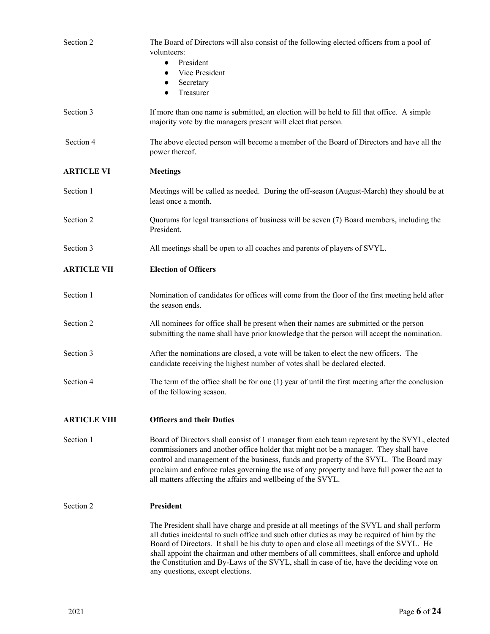| Section 2           | The Board of Directors will also consist of the following elected officers from a pool of<br>volunteers:<br>President<br>$\bullet$<br>Vice President<br>$\bullet$<br>Secretary<br>$\bullet$                                                                                                                                                                                                                                                                                                                      |
|---------------------|------------------------------------------------------------------------------------------------------------------------------------------------------------------------------------------------------------------------------------------------------------------------------------------------------------------------------------------------------------------------------------------------------------------------------------------------------------------------------------------------------------------|
|                     | Treasurer<br>$\bullet$                                                                                                                                                                                                                                                                                                                                                                                                                                                                                           |
| Section 3           | If more than one name is submitted, an election will be held to fill that office. A simple<br>majority vote by the managers present will elect that person.                                                                                                                                                                                                                                                                                                                                                      |
| Section 4           | The above elected person will become a member of the Board of Directors and have all the<br>power thereof.                                                                                                                                                                                                                                                                                                                                                                                                       |
| <b>ARTICLE VI</b>   | <b>Meetings</b>                                                                                                                                                                                                                                                                                                                                                                                                                                                                                                  |
| Section 1           | Meetings will be called as needed. During the off-season (August-March) they should be at<br>least once a month.                                                                                                                                                                                                                                                                                                                                                                                                 |
| Section 2           | Quorums for legal transactions of business will be seven (7) Board members, including the<br>President.                                                                                                                                                                                                                                                                                                                                                                                                          |
| Section 3           | All meetings shall be open to all coaches and parents of players of SVYL.                                                                                                                                                                                                                                                                                                                                                                                                                                        |
| <b>ARTICLE VII</b>  | <b>Election of Officers</b>                                                                                                                                                                                                                                                                                                                                                                                                                                                                                      |
| Section 1           | Nomination of candidates for offices will come from the floor of the first meeting held after<br>the season ends.                                                                                                                                                                                                                                                                                                                                                                                                |
| Section 2           | All nominees for office shall be present when their names are submitted or the person<br>submitting the name shall have prior knowledge that the person will accept the nomination.                                                                                                                                                                                                                                                                                                                              |
| Section 3           | After the nominations are closed, a vote will be taken to elect the new officers. The<br>candidate receiving the highest number of votes shall be declared elected.                                                                                                                                                                                                                                                                                                                                              |
| Section 4           | The term of the office shall be for one $(1)$ year of until the first meeting after the conclusion<br>of the following season.                                                                                                                                                                                                                                                                                                                                                                                   |
| <b>ARTICLE VIII</b> | <b>Officers and their Duties</b>                                                                                                                                                                                                                                                                                                                                                                                                                                                                                 |
| Section 1           | Board of Directors shall consist of 1 manager from each team represent by the SVYL, elected<br>commissioners and another office holder that might not be a manager. They shall have<br>control and management of the business, funds and property of the SVYL. The Board may<br>proclaim and enforce rules governing the use of any property and have full power the act to<br>all matters affecting the affairs and wellbeing of the SVYL.                                                                      |
| Section 2           | President                                                                                                                                                                                                                                                                                                                                                                                                                                                                                                        |
|                     | The President shall have charge and preside at all meetings of the SVYL and shall perform<br>all duties incidental to such office and such other duties as may be required of him by the<br>Board of Directors. It shall be his duty to open and close all meetings of the SVYL. He<br>shall appoint the chairman and other members of all committees, shall enforce and uphold<br>the Constitution and By-Laws of the SVYL, shall in case of tie, have the deciding vote on<br>any questions, except elections. |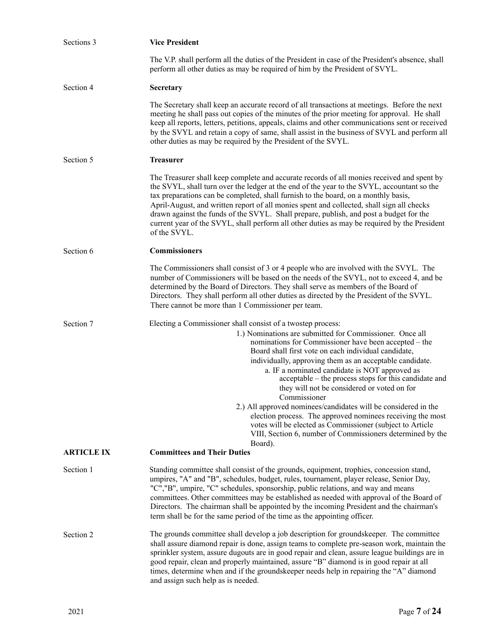| Sections 3        | <b>Vice President</b>                                                                                                                                                                                                                                                                                                                                                                                                                                                                                                                                                                                                                                                                                                       |
|-------------------|-----------------------------------------------------------------------------------------------------------------------------------------------------------------------------------------------------------------------------------------------------------------------------------------------------------------------------------------------------------------------------------------------------------------------------------------------------------------------------------------------------------------------------------------------------------------------------------------------------------------------------------------------------------------------------------------------------------------------------|
|                   | The V.P. shall perform all the duties of the President in case of the President's absence, shall<br>perform all other duties as may be required of him by the President of SVYL.                                                                                                                                                                                                                                                                                                                                                                                                                                                                                                                                            |
| Section 4         | <b>Secretary</b>                                                                                                                                                                                                                                                                                                                                                                                                                                                                                                                                                                                                                                                                                                            |
|                   | The Secretary shall keep an accurate record of all transactions at meetings. Before the next<br>meeting he shall pass out copies of the minutes of the prior meeting for approval. He shall<br>keep all reports, letters, petitions, appeals, claims and other communications sent or received<br>by the SVYL and retain a copy of same, shall assist in the business of SVYL and perform all<br>other duties as may be required by the President of the SVYL.                                                                                                                                                                                                                                                              |
| Section 5         | <b>Treasurer</b>                                                                                                                                                                                                                                                                                                                                                                                                                                                                                                                                                                                                                                                                                                            |
|                   | The Treasurer shall keep complete and accurate records of all monies received and spent by<br>the SVYL, shall turn over the ledger at the end of the year to the SVYL, accountant so the<br>tax preparations can be completed, shall furnish to the board, on a monthly basis,<br>April-August, and written report of all monies spent and collected, shall sign all checks<br>drawn against the funds of the SVYL. Shall prepare, publish, and post a budget for the<br>current year of the SVYL, shall perform all other duties as may be required by the President<br>of the SVYL.                                                                                                                                       |
| Section 6         | <b>Commissioners</b>                                                                                                                                                                                                                                                                                                                                                                                                                                                                                                                                                                                                                                                                                                        |
|                   | The Commissioners shall consist of 3 or 4 people who are involved with the SVYL. The<br>number of Commissioners will be based on the needs of the SVYL, not to exceed 4, and be<br>determined by the Board of Directors. They shall serve as members of the Board of<br>Directors. They shall perform all other duties as directed by the President of the SVYL.<br>There cannot be more than 1 Commissioner per team.                                                                                                                                                                                                                                                                                                      |
| Section 7         | Electing a Commissioner shall consist of a twostep process:                                                                                                                                                                                                                                                                                                                                                                                                                                                                                                                                                                                                                                                                 |
| <b>ARTICLE IX</b> | 1.) Nominations are submitted for Commissioner. Once all<br>nominations for Commissioner have been accepted – the<br>Board shall first vote on each individual candidate,<br>individually, approving them as an acceptable candidate.<br>a. IF a nominated candidate is NOT approved as<br>acceptable – the process stops for this candidate and<br>they will not be considered or voted on for<br>Commissioner<br>2.) All approved nominees/candidates will be considered in the<br>election process. The approved nominees receiving the most<br>votes will be elected as Commissioner (subject to Article<br>VIII, Section 6, number of Commissioners determined by the<br>Board).<br><b>Committees and Their Duties</b> |
| Section 1         | Standing committee shall consist of the grounds, equipment, trophies, concession stand,                                                                                                                                                                                                                                                                                                                                                                                                                                                                                                                                                                                                                                     |
|                   | umpires, "A" and "B", schedules, budget, rules, tournament, player release, Senior Day,<br>"C","B", umpire, "C" schedules, sponsorship, public relations, and way and means<br>committees. Other committees may be established as needed with approval of the Board of<br>Directors. The chairman shall be appointed by the incoming President and the chairman's<br>term shall be for the same period of the time as the appointing officer.                                                                                                                                                                                                                                                                               |
| Section 2         | The grounds committee shall develop a job description for groundskeeper. The committee<br>shall assure diamond repair is done, assign teams to complete pre-season work, maintain the<br>sprinkler system, assure dugouts are in good repair and clean, assure league buildings are in<br>good repair, clean and properly maintained, assure "B" diamond is in good repair at all<br>times, determine when and if the groundskeeper needs help in repairing the "A" diamond<br>and assign such help as is needed.                                                                                                                                                                                                           |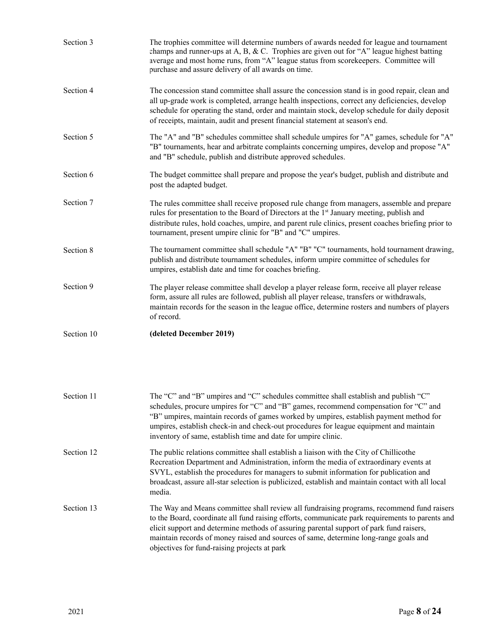| Section 3  | The trophies committee will determine numbers of awards needed for league and tournament<br>champs and runner-ups at A, B, & C. Trophies are given out for "A" league highest batting<br>average and most home runs, from "A" league status from scorekeepers. Committee will<br>purchase and assure delivery of all awards on time.                                              |
|------------|-----------------------------------------------------------------------------------------------------------------------------------------------------------------------------------------------------------------------------------------------------------------------------------------------------------------------------------------------------------------------------------|
| Section 4  | The concession stand committee shall assure the concession stand is in good repair, clean and<br>all up-grade work is completed, arrange health inspections, correct any deficiencies, develop<br>schedule for operating the stand, order and maintain stock, develop schedule for daily deposit<br>of receipts, maintain, audit and present financial statement at season's end. |
| Section 5  | The "A" and "B" schedules committee shall schedule umpires for "A" games, schedule for "A"<br>"B" tournaments, hear and arbitrate complaints concerning umpires, develop and propose "A"<br>and "B" schedule, publish and distribute approved schedules.                                                                                                                          |
| Section 6  | The budget committee shall prepare and propose the year's budget, publish and distribute and<br>post the adapted budget.                                                                                                                                                                                                                                                          |
| Section 7  | The rules committee shall receive proposed rule change from managers, assemble and prepare<br>rules for presentation to the Board of Directors at the 1 <sup>st</sup> January meeting, publish and<br>distribute rules, hold coaches, umpire, and parent rule clinics, present coaches briefing prior to<br>tournament, present umpire clinic for "B" and "C" umpires.            |
| Section 8  | The tournament committee shall schedule "A" "B" "C" tournaments, hold tournament drawing,<br>publish and distribute tournament schedules, inform umpire committee of schedules for<br>umpires, establish date and time for coaches briefing.                                                                                                                                      |
| Section 9  | The player release committee shall develop a player release form, receive all player release<br>form, assure all rules are followed, publish all player release, transfers or withdrawals,<br>maintain records for the season in the league office, determine rosters and numbers of players<br>of record.                                                                        |
| Section 10 | (deleted December 2019)                                                                                                                                                                                                                                                                                                                                                           |

| Section 11 | The "C" and "B" umpires and "C" schedules committee shall establish and publish "C"<br>schedules, procure umpires for "C" and "B" games, recommend compensation for "C" and<br>"B" umpires, maintain records of games worked by umpires, establish payment method for<br>umpires, establish check-in and check-out procedures for league equipment and maintain<br>inventory of same, establish time and date for umpire clinic. |
|------------|----------------------------------------------------------------------------------------------------------------------------------------------------------------------------------------------------------------------------------------------------------------------------------------------------------------------------------------------------------------------------------------------------------------------------------|
| Section 12 | The public relations committee shall establish a liaison with the City of Chillicothe<br>Recreation Department and Administration, inform the media of extraordinary events at<br>SVYL, establish the procedures for managers to submit information for publication and<br>broadcast, assure all-star selection is publicized, establish and maintain contact with all local<br>media.                                           |
| Section 13 | The Way and Means committee shall review all fundraising programs, recommend fund raisers<br>to the Board, coordinate all fund raising efforts, communicate park requirements to parents and<br>elicit support and determine methods of assuring parental support of park fund raisers,<br>maintain records of money raised and sources of same, determine long-range goals and                                                  |

objectives for fund-raising projects at park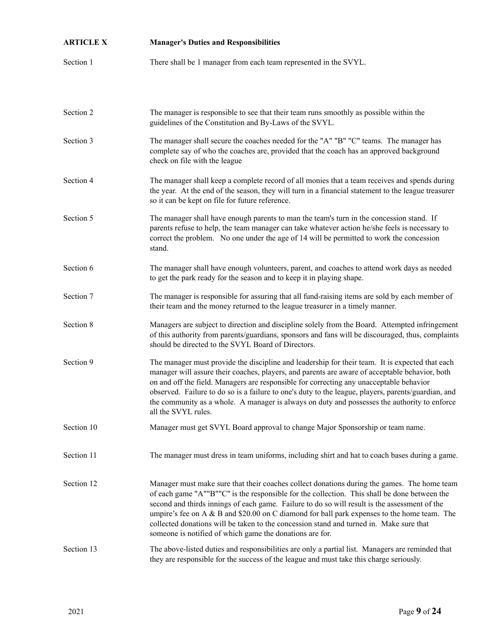| <b>ARTICLE X</b> | <b>Manager's Duties and Responsibilities</b>                                                                                                                                                                                                                                                                                                                                                                                                                                                                                                          |
|------------------|-------------------------------------------------------------------------------------------------------------------------------------------------------------------------------------------------------------------------------------------------------------------------------------------------------------------------------------------------------------------------------------------------------------------------------------------------------------------------------------------------------------------------------------------------------|
| Section 1        | There shall be 1 manager from each team represented in the SVYL.                                                                                                                                                                                                                                                                                                                                                                                                                                                                                      |
| Section 2        | The manager is responsible to see that their team runs smoothly as possible within the<br>guidelines of the Constitution and By-Laws of the SVYL.                                                                                                                                                                                                                                                                                                                                                                                                     |
| Section 3        | The manager shall secure the coaches needed for the "A" "B" "C" teams. The manager has<br>complete say of who the coaches are, provided that the coach has an approved background<br>check on file with the league                                                                                                                                                                                                                                                                                                                                    |
| Section 4        | The manager shall keep a complete record of all monies that a team receives and spends during<br>the year. At the end of the season, they will turn in a financial statement to the league treasurer<br>so it can be kept on file for future reference.                                                                                                                                                                                                                                                                                               |
| Section 5        | The manager shall have enough parents to man the team's turn in the concession stand. If<br>parents refuse to help, the team manager can take whatever action he/she feels is necessary to<br>correct the problem. No one under the age of 14 will be permitted to work the concession<br>stand.                                                                                                                                                                                                                                                      |
| Section 6        | The manager shall have enough volunteers, parent, and coaches to attend work days as needed<br>to get the park ready for the season and to keep it in playing shape.                                                                                                                                                                                                                                                                                                                                                                                  |
| Section 7        | The manager is responsible for assuring that all fund-raising items are sold by each member of<br>their team and the money returned to the league treasurer in a timely manner.                                                                                                                                                                                                                                                                                                                                                                       |
| Section 8        | Managers are subject to direction and discipline solely from the Board. Attempted infringement<br>of this authority from parents/guardians, sponsors and fans will be discouraged, thus, complaints<br>should be directed to the SVYL Board of Directors.                                                                                                                                                                                                                                                                                             |
| Section 9        | The manager must provide the discipline and leadership for their team. It is expected that each<br>manager will assure their coaches, players, and parents are aware of acceptable behavior, both<br>on and off the field. Managers are responsible for correcting any unacceptable behavior<br>observed. Failure to do so is a failure to one's duty to the league, players, parents/guardian, and<br>the community as a whole. A manager is always on duty and possesses the authority to enforce<br>all the SVYL rules.                            |
| Section 10       | Manager must get SVYL Board approval to change Major Sponsorship or team name.                                                                                                                                                                                                                                                                                                                                                                                                                                                                        |
| Section 11       | The manager must dress in team uniforms, including shirt and hat to coach bases during a game.                                                                                                                                                                                                                                                                                                                                                                                                                                                        |
| Section 12       | Manager must make sure that their coaches collect donations during the games. The home team<br>of each game "A""B""C" is the responsible for the collection. This shall be done between the<br>second and thirds innings of each game. Failure to do so will result is the assessment of the<br>umpire's fee on $A \& B$ and \$20.00 on C diamond for ball park expenses to the home team. The<br>collected donations will be taken to the concession stand and turned in. Make sure that<br>someone is notified of which game the donations are for. |
| Section 13       | The above-listed duties and responsibilities are only a partial list. Managers are reminded that<br>they are responsible for the success of the league and must take this charge seriously.                                                                                                                                                                                                                                                                                                                                                           |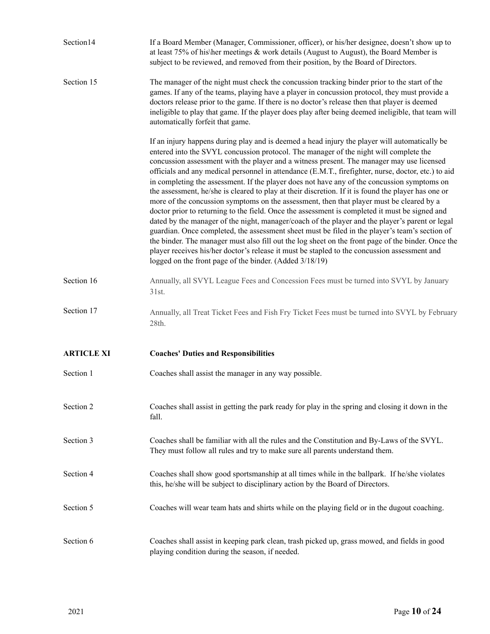| Section14         | If a Board Member (Manager, Commissioner, officer), or his/her designee, doesn't show up to<br>at least 75% of his/her meetings $\&$ work details (August to August), the Board Member is<br>subject to be reviewed, and removed from their position, by the Board of Directors.                                                                                                                                                                                                                                                                                                                                                                                                                                                                                                                                                                                                                                                                                                                                                                                                                                                                                                                                                                                     |
|-------------------|----------------------------------------------------------------------------------------------------------------------------------------------------------------------------------------------------------------------------------------------------------------------------------------------------------------------------------------------------------------------------------------------------------------------------------------------------------------------------------------------------------------------------------------------------------------------------------------------------------------------------------------------------------------------------------------------------------------------------------------------------------------------------------------------------------------------------------------------------------------------------------------------------------------------------------------------------------------------------------------------------------------------------------------------------------------------------------------------------------------------------------------------------------------------------------------------------------------------------------------------------------------------|
| Section 15        | The manager of the night must check the concussion tracking binder prior to the start of the<br>games. If any of the teams, playing have a player in concussion protocol, they must provide a<br>doctors release prior to the game. If there is no doctor's release then that player is deemed<br>ineligible to play that game. If the player does play after being deemed ineligible, that team will<br>automatically forfeit that game.                                                                                                                                                                                                                                                                                                                                                                                                                                                                                                                                                                                                                                                                                                                                                                                                                            |
|                   | If an injury happens during play and is deemed a head injury the player will automatically be<br>entered into the SVYL concussion protocol. The manager of the night will complete the<br>concussion assessment with the player and a witness present. The manager may use licensed<br>officials and any medical personnel in attendance (E.M.T., firefighter, nurse, doctor, etc.) to aid<br>in completing the assessment. If the player does not have any of the concussion symptoms on<br>the assessment, he/she is cleared to play at their discretion. If it is found the player has one or<br>more of the concussion symptoms on the assessment, then that player must be cleared by a<br>doctor prior to returning to the field. Once the assessment is completed it must be signed and<br>dated by the manager of the night, manager/coach of the player and the player's parent or legal<br>guardian. Once completed, the assessment sheet must be filed in the player's team's section of<br>the binder. The manager must also fill out the log sheet on the front page of the binder. Once the<br>player receives his/her doctor's release it must be stapled to the concussion assessment and<br>logged on the front page of the binder. (Added 3/18/19) |
| Section 16        | Annually, all SVYL League Fees and Concession Fees must be turned into SVYL by January<br>31st.                                                                                                                                                                                                                                                                                                                                                                                                                                                                                                                                                                                                                                                                                                                                                                                                                                                                                                                                                                                                                                                                                                                                                                      |
| Section 17        | Annually, all Treat Ticket Fees and Fish Fry Ticket Fees must be turned into SVYL by February<br>28th.                                                                                                                                                                                                                                                                                                                                                                                                                                                                                                                                                                                                                                                                                                                                                                                                                                                                                                                                                                                                                                                                                                                                                               |
| <b>ARTICLE XI</b> | <b>Coaches' Duties and Responsibilities</b>                                                                                                                                                                                                                                                                                                                                                                                                                                                                                                                                                                                                                                                                                                                                                                                                                                                                                                                                                                                                                                                                                                                                                                                                                          |
| Section 1         | Coaches shall assist the manager in any way possible.                                                                                                                                                                                                                                                                                                                                                                                                                                                                                                                                                                                                                                                                                                                                                                                                                                                                                                                                                                                                                                                                                                                                                                                                                |
| Section 2         | Coaches shall assist in getting the park ready for play in the spring and closing it down in the<br>fall.                                                                                                                                                                                                                                                                                                                                                                                                                                                                                                                                                                                                                                                                                                                                                                                                                                                                                                                                                                                                                                                                                                                                                            |
| Section 3         | Coaches shall be familiar with all the rules and the Constitution and By-Laws of the SVYL.<br>They must follow all rules and try to make sure all parents understand them.                                                                                                                                                                                                                                                                                                                                                                                                                                                                                                                                                                                                                                                                                                                                                                                                                                                                                                                                                                                                                                                                                           |
| Section 4         | Coaches shall show good sportsmanship at all times while in the ballpark. If he/she violates<br>this, he/she will be subject to disciplinary action by the Board of Directors.                                                                                                                                                                                                                                                                                                                                                                                                                                                                                                                                                                                                                                                                                                                                                                                                                                                                                                                                                                                                                                                                                       |
| Section 5         | Coaches will wear team hats and shirts while on the playing field or in the dugout coaching.                                                                                                                                                                                                                                                                                                                                                                                                                                                                                                                                                                                                                                                                                                                                                                                                                                                                                                                                                                                                                                                                                                                                                                         |
| Section 6         | Coaches shall assist in keeping park clean, trash picked up, grass mowed, and fields in good<br>playing condition during the season, if needed.                                                                                                                                                                                                                                                                                                                                                                                                                                                                                                                                                                                                                                                                                                                                                                                                                                                                                                                                                                                                                                                                                                                      |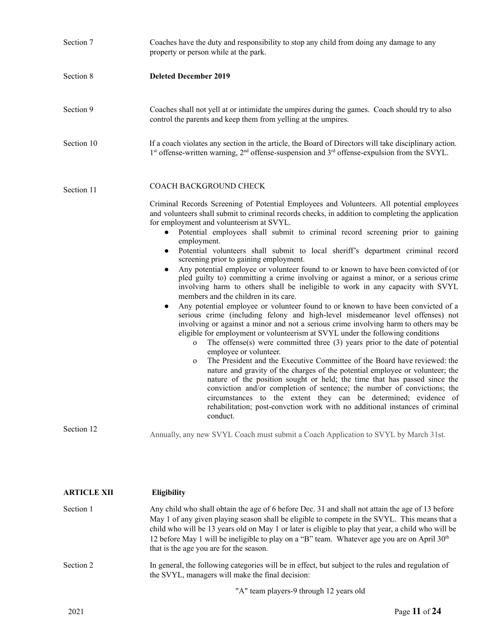| Section 7                | Coaches have the duty and responsibility to stop any child from doing any damage to any<br>property or person while at the park.                                                                                                                                                                                                                                                                                                                                                                                                                                                                                                                                                                                                                                                                                                                                                                                                                                                                                                                                                                                                                                                                                                                                                                                                                                                                                                                                                                                                                                                                                                                                                                                                                                                                                                                                                                                                |
|--------------------------|---------------------------------------------------------------------------------------------------------------------------------------------------------------------------------------------------------------------------------------------------------------------------------------------------------------------------------------------------------------------------------------------------------------------------------------------------------------------------------------------------------------------------------------------------------------------------------------------------------------------------------------------------------------------------------------------------------------------------------------------------------------------------------------------------------------------------------------------------------------------------------------------------------------------------------------------------------------------------------------------------------------------------------------------------------------------------------------------------------------------------------------------------------------------------------------------------------------------------------------------------------------------------------------------------------------------------------------------------------------------------------------------------------------------------------------------------------------------------------------------------------------------------------------------------------------------------------------------------------------------------------------------------------------------------------------------------------------------------------------------------------------------------------------------------------------------------------------------------------------------------------------------------------------------------------|
| Section 8                | <b>Deleted December 2019</b>                                                                                                                                                                                                                                                                                                                                                                                                                                                                                                                                                                                                                                                                                                                                                                                                                                                                                                                                                                                                                                                                                                                                                                                                                                                                                                                                                                                                                                                                                                                                                                                                                                                                                                                                                                                                                                                                                                    |
| Section 9                | Coaches shall not yell at or intimidate the umpires during the games. Coach should try to also<br>control the parents and keep them from yelling at the umpires.                                                                                                                                                                                                                                                                                                                                                                                                                                                                                                                                                                                                                                                                                                                                                                                                                                                                                                                                                                                                                                                                                                                                                                                                                                                                                                                                                                                                                                                                                                                                                                                                                                                                                                                                                                |
| Section 10               | If a coach violates any section in the article, the Board of Directors will take disciplinary action.<br>$1st$ offense-written warning, $2nd$ offense-suspension and $3rd$ offense-expulsion from the SVYL.                                                                                                                                                                                                                                                                                                                                                                                                                                                                                                                                                                                                                                                                                                                                                                                                                                                                                                                                                                                                                                                                                                                                                                                                                                                                                                                                                                                                                                                                                                                                                                                                                                                                                                                     |
| Section 11<br>Section 12 | COACH BACKGROUND CHECK<br>Criminal Records Screening of Potential Employees and Volunteers. All potential employees<br>and volunteers shall submit to criminal records checks, in addition to completing the application<br>for employment and volunteerism at SVYL.<br>Potential employees shall submit to criminal record screening prior to gaining<br>$\bullet$<br>employment.<br>Potential volunteers shall submit to local sheriff's department criminal record<br>$\bullet$<br>screening prior to gaining employment.<br>Any potential employee or volunteer found to or known to have been convicted of (or<br>pled guilty to) committing a crime involving or against a minor, or a serious crime<br>involving harm to others shall be ineligible to work in any capacity with SVYL<br>members and the children in its care.<br>Any potential employee or volunteer found to or known to have been convicted of a<br>$\bullet$<br>serious crime (including felony and high-level misdemeanor level offenses) not<br>involving or against a minor and not a serious crime involving harm to others may be<br>eligible for employment or volunteerism at SVYL under the following conditions<br>The offense $(s)$ were committed three $(3)$ years prior to the date of potential<br>$\mathbf{o}$<br>employee or volunteer.<br>The President and the Executive Committee of the Board have reviewed: the<br>$\mathbf{O}$<br>nature and gravity of the charges of the potential employee or volunteer; the<br>nature of the position sought or held; the time that has passed since the<br>conviction and/or completion of sentence; the number of convictions; the<br>circumstances to the extent they can be determined; evidence of<br>rehabilitation; post-convetion work with no additional instances of criminal<br>conduct.<br>Annually, any new SVYL Coach must submit a Coach Application to SVYL by March 31st. |
| <b>ARTICLE XII</b>       | <b>Eligibility</b>                                                                                                                                                                                                                                                                                                                                                                                                                                                                                                                                                                                                                                                                                                                                                                                                                                                                                                                                                                                                                                                                                                                                                                                                                                                                                                                                                                                                                                                                                                                                                                                                                                                                                                                                                                                                                                                                                                              |

| Section 1 | Any child who shall obtain the age of 6 before Dec. 31 and shall not attain the age of 13 before<br>May 1 of any given playing season shall be eligible to compete in the SVYL. This means that a<br>child who will be 13 years old on May 1 or later is eligible to play that year, a child who will be<br>12 before May 1 will be ineligible to play on a "B" team. Whatever age you are on April $30th$<br>that is the age you are for the season. |
|-----------|-------------------------------------------------------------------------------------------------------------------------------------------------------------------------------------------------------------------------------------------------------------------------------------------------------------------------------------------------------------------------------------------------------------------------------------------------------|
| Section 2 | In general, the following categories will be in effect, but subject to the rules and regulation of<br>the SVYL, managers will make the final decision:                                                                                                                                                                                                                                                                                                |

"A" team players-9 through 12 years old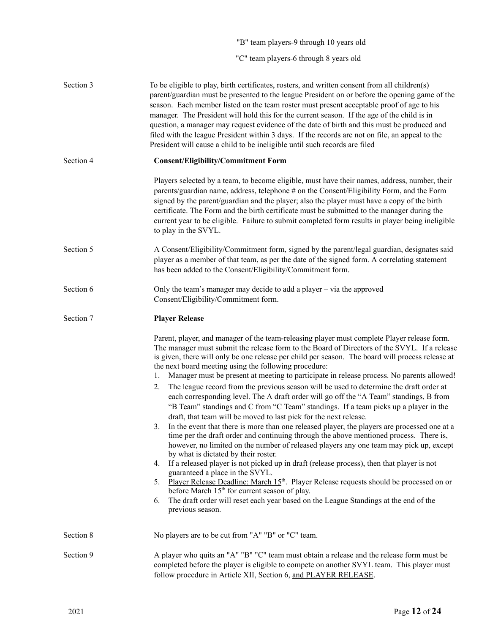|           | "B" team players-9 through 10 years old                                                                                                                                                                                                                                                                                                                                                                                                                                                                                                                                                                                                                                                                                                                                                                                                                                                                                                                                                                                                                                                                                                                                                                                                                                                     |
|-----------|---------------------------------------------------------------------------------------------------------------------------------------------------------------------------------------------------------------------------------------------------------------------------------------------------------------------------------------------------------------------------------------------------------------------------------------------------------------------------------------------------------------------------------------------------------------------------------------------------------------------------------------------------------------------------------------------------------------------------------------------------------------------------------------------------------------------------------------------------------------------------------------------------------------------------------------------------------------------------------------------------------------------------------------------------------------------------------------------------------------------------------------------------------------------------------------------------------------------------------------------------------------------------------------------|
|           | "C" team players-6 through 8 years old                                                                                                                                                                                                                                                                                                                                                                                                                                                                                                                                                                                                                                                                                                                                                                                                                                                                                                                                                                                                                                                                                                                                                                                                                                                      |
| Section 3 | To be eligible to play, birth certificates, rosters, and written consent from all children(s)<br>parent/guardian must be presented to the league President on or before the opening game of the<br>season. Each member listed on the team roster must present acceptable proof of age to his<br>manager. The President will hold this for the current season. If the age of the child is in<br>question, a manager may request evidence of the date of birth and this must be produced and<br>filed with the league President within 3 days. If the records are not on file, an appeal to the<br>President will cause a child to be ineligible until such records are filed                                                                                                                                                                                                                                                                                                                                                                                                                                                                                                                                                                                                                 |
| Section 4 | <b>Consent/Eligibility/Commitment Form</b>                                                                                                                                                                                                                                                                                                                                                                                                                                                                                                                                                                                                                                                                                                                                                                                                                                                                                                                                                                                                                                                                                                                                                                                                                                                  |
|           | Players selected by a team, to become eligible, must have their names, address, number, their<br>parents/guardian name, address, telephone # on the Consent/Eligibility Form, and the Form<br>signed by the parent/guardian and the player; also the player must have a copy of the birth<br>certificate. The Form and the birth certificate must be submitted to the manager during the<br>current year to be eligible. Failure to submit completed form results in player being ineligible<br>to play in the SVYL.                                                                                                                                                                                                                                                                                                                                                                                                                                                                                                                                                                                                                                                                                                                                                                        |
| Section 5 | A Consent/Eligibility/Commitment form, signed by the parent/legal guardian, designates said<br>player as a member of that team, as per the date of the signed form. A correlating statement<br>has been added to the Consent/Eligibility/Commitment form.                                                                                                                                                                                                                                                                                                                                                                                                                                                                                                                                                                                                                                                                                                                                                                                                                                                                                                                                                                                                                                   |
| Section 6 | Only the team's manager may decide to add a player – via the approved<br>Consent/Eligibility/Commitment form.                                                                                                                                                                                                                                                                                                                                                                                                                                                                                                                                                                                                                                                                                                                                                                                                                                                                                                                                                                                                                                                                                                                                                                               |
| Section 7 | <b>Player Release</b>                                                                                                                                                                                                                                                                                                                                                                                                                                                                                                                                                                                                                                                                                                                                                                                                                                                                                                                                                                                                                                                                                                                                                                                                                                                                       |
|           | Parent, player, and manager of the team-releasing player must complete Player release form.<br>The manager must submit the release form to the Board of Directors of the SVYL. If a release<br>is given, there will only be one release per child per season. The board will process release at<br>the next board meeting using the following procedure:<br>Manager must be present at meeting to participate in release process. No parents allowed!<br>1.<br>The league record from the previous season will be used to determine the draft order at<br>2.<br>each corresponding level. The A draft order will go off the "A Team" standings, B from<br>"B Team" standings and C from "C Team" standings. If a team picks up a player in the<br>draft, that team will be moved to last pick for the next release.<br>In the event that there is more than one released player, the players are processed one at a<br>3.<br>time per the draft order and continuing through the above mentioned process. There is,<br>however, no limited on the number of released players any one team may pick up, except<br>by what is dictated by their roster.<br>If a released player is not picked up in draft (release process), then that player is not<br>4.<br>guaranteed a place in the SVYL. |
|           | Player Release Deadline: March 15 <sup>th</sup> . Player Release requests should be processed on or<br>5.<br>before March 15 <sup>th</sup> for current season of play.<br>The draft order will reset each year based on the League Standings at the end of the<br>6.<br>previous season.                                                                                                                                                                                                                                                                                                                                                                                                                                                                                                                                                                                                                                                                                                                                                                                                                                                                                                                                                                                                    |
| Section 8 | No players are to be cut from "A" "B" or "C" team.                                                                                                                                                                                                                                                                                                                                                                                                                                                                                                                                                                                                                                                                                                                                                                                                                                                                                                                                                                                                                                                                                                                                                                                                                                          |
| Section 9 | A player who quits an "A" "B" "C" team must obtain a release and the release form must be<br>completed before the player is eligible to compete on another SVYL team. This player must<br>follow procedure in Article XII, Section 6, and PLAYER RELEASE.                                                                                                                                                                                                                                                                                                                                                                                                                                                                                                                                                                                                                                                                                                                                                                                                                                                                                                                                                                                                                                   |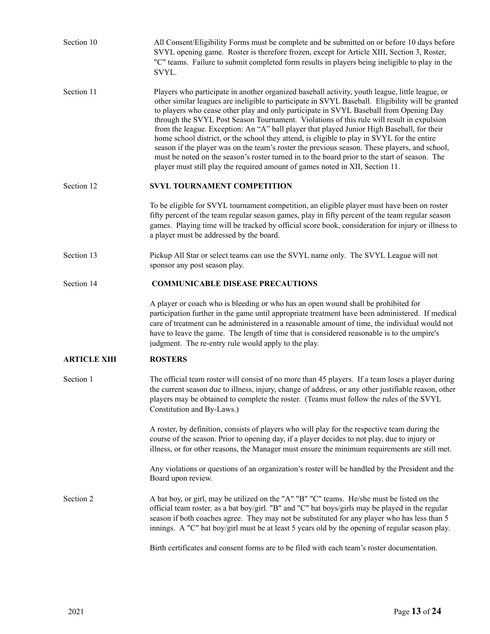| Section 10          | All Consent/Eligibility Forms must be complete and be submitted on or before 10 days before<br>SVYL opening game. Roster is therefore frozen, except for Article XIII, Section 3, Roster,<br>"C" teams. Failure to submit completed form results in players being ineligible to play in the<br>SVYL.                                                                                                                                                                                                                                                                                                                                                                                                                                                                                                                                                                        |
|---------------------|-----------------------------------------------------------------------------------------------------------------------------------------------------------------------------------------------------------------------------------------------------------------------------------------------------------------------------------------------------------------------------------------------------------------------------------------------------------------------------------------------------------------------------------------------------------------------------------------------------------------------------------------------------------------------------------------------------------------------------------------------------------------------------------------------------------------------------------------------------------------------------|
| Section 11          | Players who participate in another organized baseball activity, youth league, little league, or<br>other similar leagues are ineligible to participate in SVYL Baseball. Eligibility will be granted<br>to players who cease other play and only participate in SVYL Baseball from Opening Day<br>through the SVYL Post Season Tournament. Violations of this rule will result in expulsion<br>from the league. Exception: An "A" ball player that played Junior High Baseball, for their<br>home school district, or the school they attend, is eligible to play in SVYL for the entire<br>season if the player was on the team's roster the previous season. These players, and school,<br>must be noted on the season's roster turned in to the board prior to the start of season. The<br>player must still play the required amount of games noted in XII, Section 11. |
| Section 12          | SVYL TOURNAMENT COMPETITION                                                                                                                                                                                                                                                                                                                                                                                                                                                                                                                                                                                                                                                                                                                                                                                                                                                 |
|                     | To be eligible for SVYL tournament competition, an eligible player must have been on roster<br>fifty percent of the team regular season games, play in fifty percent of the team regular season<br>games. Playing time will be tracked by official score book, consideration for injury or illness to<br>a player must be addressed by the board.                                                                                                                                                                                                                                                                                                                                                                                                                                                                                                                           |
| Section 13          | Pickup All Star or select teams can use the SVYL name only. The SVYL League will not<br>sponsor any post season play.                                                                                                                                                                                                                                                                                                                                                                                                                                                                                                                                                                                                                                                                                                                                                       |
| Section 14          | <b>COMMUNICABLE DISEASE PRECAUTIONS</b>                                                                                                                                                                                                                                                                                                                                                                                                                                                                                                                                                                                                                                                                                                                                                                                                                                     |
|                     | A player or coach who is bleeding or who has an open wound shall be prohibited for<br>participation further in the game until appropriate treatment have been administered. If medical<br>care of treatment can be administered in a reasonable amount of time, the individual would not<br>have to leave the game. The length of time that is considered reasonable is to the umpire's<br>judgment. The re-entry rule would apply to the play.                                                                                                                                                                                                                                                                                                                                                                                                                             |
| <b>ARTICLE XIII</b> | <b>ROSTERS</b>                                                                                                                                                                                                                                                                                                                                                                                                                                                                                                                                                                                                                                                                                                                                                                                                                                                              |
| Section 1           | The official team roster will consist of no more than 45 players. If a team loses a player during<br>the current season due to illness, injury, change of address, or any other justifiable reason, other<br>players may be obtained to complete the roster. (Teams must follow the rules of the SVYL<br>Constitution and By-Laws.)                                                                                                                                                                                                                                                                                                                                                                                                                                                                                                                                         |
|                     | A roster, by definition, consists of players who will play for the respective team during the<br>course of the season. Prior to opening day, if a player decides to not play, due to injury or<br>illness, or for other reasons, the Manager must ensure the minimum requirements are still met.                                                                                                                                                                                                                                                                                                                                                                                                                                                                                                                                                                            |
|                     | Any violations or questions of an organization's roster will be handled by the President and the<br>Board upon review.                                                                                                                                                                                                                                                                                                                                                                                                                                                                                                                                                                                                                                                                                                                                                      |
| Section 2           | A bat boy, or girl, may be utilized on the "A" "B" "C" teams. He/she must be listed on the<br>official team roster, as a bat boy/girl. "B" and "C" bat boys/girls may be played in the regular<br>season if both coaches agree. They may not be substituted for any player who has less than 5<br>innings. A "C" bat boy/girl must be at least 5 years old by the opening of regular season play.                                                                                                                                                                                                                                                                                                                                                                                                                                                                           |
|                     | Birth certificates and consent forms are to be filed with each team's roster documentation.                                                                                                                                                                                                                                                                                                                                                                                                                                                                                                                                                                                                                                                                                                                                                                                 |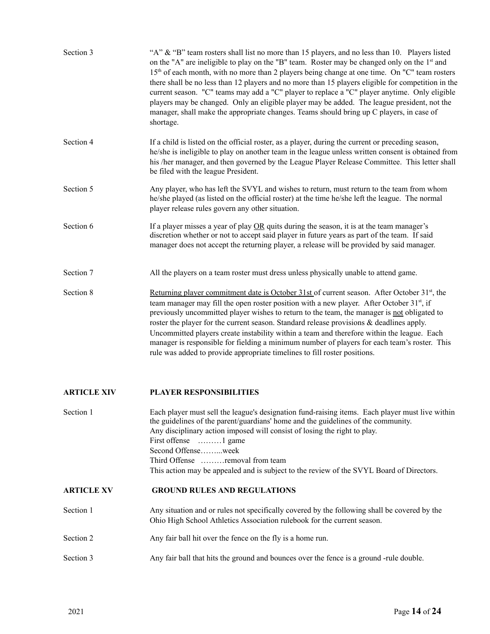| Section 3          | "A" & "B" team rosters shall list no more than 15 players, and no less than 10. Players listed<br>on the "A" are ineligible to play on the "B" team. Roster may be changed only on the 1 <sup>st</sup> and<br>15 <sup>th</sup> of each month, with no more than 2 players being change at one time. On "C" team rosters<br>there shall be no less than 12 players and no more than 15 players eligible for competition in the<br>current season. "C" teams may add a "C" player to replace a "C" player anytime. Only eligible<br>players may be changed. Only an eligible player may be added. The league president, not the<br>manager, shall make the appropriate changes. Teams should bring up C players, in case of<br>shortage. |
|--------------------|----------------------------------------------------------------------------------------------------------------------------------------------------------------------------------------------------------------------------------------------------------------------------------------------------------------------------------------------------------------------------------------------------------------------------------------------------------------------------------------------------------------------------------------------------------------------------------------------------------------------------------------------------------------------------------------------------------------------------------------|
| Section 4          | If a child is listed on the official roster, as a player, during the current or preceding season,<br>he/she is ineligible to play on another team in the league unless written consent is obtained from<br>his /her manager, and then governed by the League Player Release Committee. This letter shall<br>be filed with the league President.                                                                                                                                                                                                                                                                                                                                                                                        |
| Section 5          | Any player, who has left the SVYL and wishes to return, must return to the team from whom<br>he/she played (as listed on the official roster) at the time he/she left the league. The normal<br>player release rules govern any other situation.                                                                                                                                                                                                                                                                                                                                                                                                                                                                                       |
| Section 6          | If a player misses a year of play $OR$ quits during the season, it is at the team manager's<br>discretion whether or not to accept said player in future years as part of the team. If said<br>manager does not accept the returning player, a release will be provided by said manager.                                                                                                                                                                                                                                                                                                                                                                                                                                               |
| Section 7          | All the players on a team roster must dress unless physically unable to attend game.                                                                                                                                                                                                                                                                                                                                                                                                                                                                                                                                                                                                                                                   |
| Section 8          | <u>Returning player commitment date is October 31st</u> of current season. After October $31st$ , the<br>team manager may fill the open roster position with a new player. After October 31 <sup>st</sup> , if<br>previously uncommitted player wishes to return to the team, the manager is not obligated to<br>roster the player for the current season. Standard release provisions & deadlines apply.<br>Uncommitted players create instability within a team and therefore within the league. Each<br>manager is responsible for fielding a minimum number of players for each team's roster. This<br>rule was added to provide appropriate timelines to fill roster positions.                                                   |
| <b>ARTICLE XIV</b> | <b>PLAYER RESPONSIBILITIES</b>                                                                                                                                                                                                                                                                                                                                                                                                                                                                                                                                                                                                                                                                                                         |
| Section 1          | Each player must sell the league's designation fund-raising items. Each player must live within<br>the guidelines of the parent/guardians' home and the guidelines of the community.<br>Any disciplinary action imposed will consist of losing the right to play.<br>First offense<br>$\ldots \ldots \ldots$ game                                                                                                                                                                                                                                                                                                                                                                                                                      |

This action may be appealed and is subject to the review of the SVYL Board of Directors.

## **ARTICLE XV GROUND RULES AND REGULATIONS**

- Section 1 Any situation and or rules not specifically covered by the following shall be covered by the Ohio High School Athletics Association rulebook for the current season.
- Section 2 Any fair ball hit over the fence on the fly is a home run.

Second Offense……...week

Third Offense ………removal from team

Section 3 Any fair ball that hits the ground and bounces over the fence is a ground -rule double.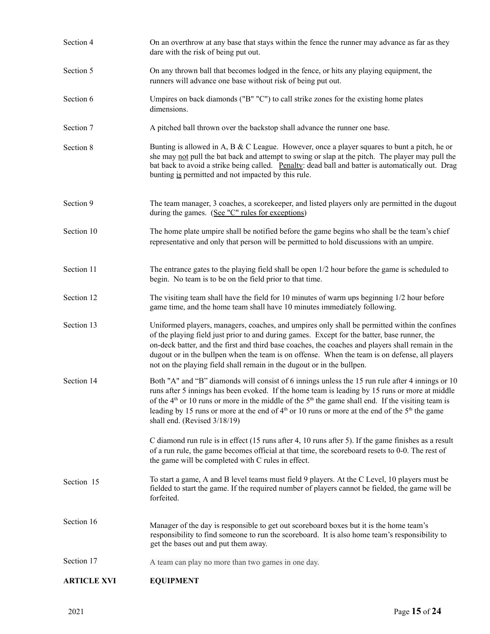| <b>ARTICLE XVI</b> | <b>EQUIPMENT</b>                                                                                                                                                                                                                                                                                                                                                                                                                                                               |
|--------------------|--------------------------------------------------------------------------------------------------------------------------------------------------------------------------------------------------------------------------------------------------------------------------------------------------------------------------------------------------------------------------------------------------------------------------------------------------------------------------------|
| Section 17         | A team can play no more than two games in one day.                                                                                                                                                                                                                                                                                                                                                                                                                             |
| Section 16         | Manager of the day is responsible to get out scoreboard boxes but it is the home team's<br>responsibility to find someone to run the scoreboard. It is also home team's responsibility to<br>get the bases out and put them away.                                                                                                                                                                                                                                              |
| Section 15         | To start a game, A and B level teams must field 9 players. At the C Level, 10 players must be<br>fielded to start the game. If the required number of players cannot be fielded, the game will be<br>forfeited.                                                                                                                                                                                                                                                                |
|                    | C diamond run rule is in effect (15 runs after 4, 10 runs after 5). If the game finishes as a result<br>of a run rule, the game becomes official at that time, the scoreboard resets to 0-0. The rest of<br>the game will be completed with C rules in effect.                                                                                                                                                                                                                 |
| Section 14         | Both "A" and "B" diamonds will consist of 6 innings unless the 15 run rule after 4 innings or 10<br>runs after 5 innings has been evoked. If the home team is leading by 15 runs or more at middle<br>of the $4th$ or 10 runs or more in the middle of the $5th$ the game shall end. If the visiting team is<br>leading by 15 runs or more at the end of 4 <sup>th</sup> or 10 runs or more at the end of the 5 <sup>th</sup> the game<br>shall end. (Revised 3/18/19)         |
| Section 13         | Uniformed players, managers, coaches, and umpires only shall be permitted within the confines<br>of the playing field just prior to and during games. Except for the batter, base runner, the<br>on-deck batter, and the first and third base coaches, the coaches and players shall remain in the<br>dugout or in the bullpen when the team is on offense. When the team is on defense, all players<br>not on the playing field shall remain in the dugout or in the bullpen. |
| Section 12         | The visiting team shall have the field for 10 minutes of warm ups beginning $1/2$ hour before<br>game time, and the home team shall have 10 minutes immediately following.                                                                                                                                                                                                                                                                                                     |
| Section 11         | The entrance gates to the playing field shall be open $1/2$ hour before the game is scheduled to<br>begin. No team is to be on the field prior to that time.                                                                                                                                                                                                                                                                                                                   |
| Section 10         | The home plate umpire shall be notified before the game begins who shall be the team's chief<br>representative and only that person will be permitted to hold discussions with an umpire.                                                                                                                                                                                                                                                                                      |
| Section 9          | The team manager, 3 coaches, a scorekeeper, and listed players only are permitted in the dugout<br>during the games. (See "C" rules for exceptions)                                                                                                                                                                                                                                                                                                                            |
| Section 8          | Bunting is allowed in A, B & C League. However, once a player squares to bunt a pitch, he or<br>she may not pull the bat back and attempt to swing or slap at the pitch. The player may pull the<br>bat back to avoid a strike being called. Penalty: dead ball and batter is automatically out. Drag<br>bunting is permitted and not impacted by this rule.                                                                                                                   |
| Section 7          | A pitched ball thrown over the backstop shall advance the runner one base.                                                                                                                                                                                                                                                                                                                                                                                                     |
| Section 6          | Umpires on back diamonds ("B" "C") to call strike zones for the existing home plates<br>dimensions.                                                                                                                                                                                                                                                                                                                                                                            |
| Section 5          | On any thrown ball that becomes lodged in the fence, or hits any playing equipment, the<br>runners will advance one base without risk of being put out.                                                                                                                                                                                                                                                                                                                        |
| Section 4          | On an overthrow at any base that stays within the fence the runner may advance as far as they<br>dare with the risk of being put out.                                                                                                                                                                                                                                                                                                                                          |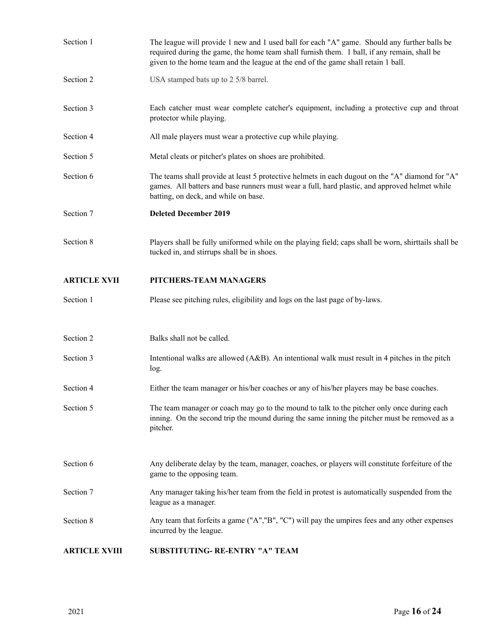| Section 1            | The league will provide 1 new and 1 used ball for each "A" game. Should any further balls be<br>required during the game, the home team shall furnish them. 1 ball, if any remain, shall be<br>given to the home team and the league at the end of the game shall retain 1 ball. |
|----------------------|----------------------------------------------------------------------------------------------------------------------------------------------------------------------------------------------------------------------------------------------------------------------------------|
| Section 2            | USA stamped bats up to 2 5/8 barrel.                                                                                                                                                                                                                                             |
| Section 3            | Each catcher must wear complete catcher's equipment, including a protective cup and throat<br>protector while playing.                                                                                                                                                           |
| Section 4            | All male players must wear a protective cup while playing.                                                                                                                                                                                                                       |
| Section 5            | Metal cleats or pitcher's plates on shoes are prohibited.                                                                                                                                                                                                                        |
| Section 6            | The teams shall provide at least 5 protective helmets in each dugout on the "A" diamond for "A"<br>games. All batters and base runners must wear a full, hard plastic, and approved helmet while<br>batting, on deck, and while on base.                                         |
| Section 7            | <b>Deleted December 2019</b>                                                                                                                                                                                                                                                     |
| Section 8            | Players shall be fully uniformed while on the playing field; caps shall be worn, shirttails shall be<br>tucked in, and stirrups shall be in shoes.                                                                                                                               |
| <b>ARTICLE XVII</b>  | PITCHERS-TEAM MANAGERS                                                                                                                                                                                                                                                           |
| Section 1            | Please see pitching rules, eligibility and logs on the last page of by-laws.                                                                                                                                                                                                     |
|                      |                                                                                                                                                                                                                                                                                  |
| Section 2            | Balks shall not be called.                                                                                                                                                                                                                                                       |
| Section 3            | Intentional walks are allowed (A&B). An intentional walk must result in 4 pitches in the pitch<br>log.                                                                                                                                                                           |
| Section 4            | Either the team manager or his/her coaches or any of his/her players may be base coaches.                                                                                                                                                                                        |
| Section 5            | The team manager or coach may go to the mound to talk to the pitcher only once during each<br>inning. On the second trip the mound during the same inning the pitcher must be removed as a<br>pitcher.                                                                           |
|                      |                                                                                                                                                                                                                                                                                  |
| Section 6            | Any deliberate delay by the team, manager, coaches, or players will constitute for feiture of the<br>game to the opposing team.                                                                                                                                                  |
| Section 7            | Any manager taking his/her team from the field in protest is automatically suspended from the<br>league as a manager.                                                                                                                                                            |
| Section 8            | Any team that forfeits a game ("A","B", "C") will pay the umpires fees and any other expenses<br>incurred by the league.                                                                                                                                                         |
| <b>ARTICLE XVIII</b> | SUBSTITUTING- RE-ENTRY "A" TEAM                                                                                                                                                                                                                                                  |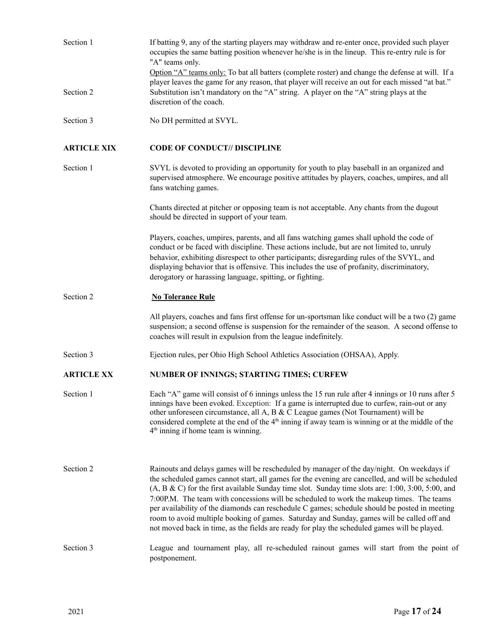| Section 1          | If batting 9, any of the starting players may withdraw and re-enter once, provided such player<br>occupies the same batting position whenever he/she is in the lineup. This re-entry rule is for<br>"A" teams only.                                                                                                                                                                                                                                                                                                                                                                                                                                                                             |
|--------------------|-------------------------------------------------------------------------------------------------------------------------------------------------------------------------------------------------------------------------------------------------------------------------------------------------------------------------------------------------------------------------------------------------------------------------------------------------------------------------------------------------------------------------------------------------------------------------------------------------------------------------------------------------------------------------------------------------|
|                    | Option "A" teams only: To bat all batters (complete roster) and change the defense at will. If a<br>player leaves the game for any reason, that player will receive an out for each missed "at bat."                                                                                                                                                                                                                                                                                                                                                                                                                                                                                            |
| Section 2          | Substitution isn't mandatory on the "A" string. A player on the "A" string plays at the<br>discretion of the coach.                                                                                                                                                                                                                                                                                                                                                                                                                                                                                                                                                                             |
| Section 3          | No DH permitted at SVYL.                                                                                                                                                                                                                                                                                                                                                                                                                                                                                                                                                                                                                                                                        |
| <b>ARTICLE XIX</b> | <b>CODE OF CONDUCT// DISCIPLINE</b>                                                                                                                                                                                                                                                                                                                                                                                                                                                                                                                                                                                                                                                             |
| Section 1          | SVYL is devoted to providing an opportunity for youth to play baseball in an organized and<br>supervised atmosphere. We encourage positive attitudes by players, coaches, umpires, and all<br>fans watching games.                                                                                                                                                                                                                                                                                                                                                                                                                                                                              |
|                    | Chants directed at pitcher or opposing team is not acceptable. Any chants from the dugout<br>should be directed in support of your team.                                                                                                                                                                                                                                                                                                                                                                                                                                                                                                                                                        |
|                    | Players, coaches, umpires, parents, and all fans watching games shall uphold the code of<br>conduct or be faced with discipline. These actions include, but are not limited to, unruly<br>behavior, exhibiting disrespect to other participants; disregarding rules of the SVYL, and<br>displaying behavior that is offensive. This includes the use of profanity, discriminatory,<br>derogatory or harassing language, spitting, or fighting.                                                                                                                                                                                                                                                  |
| Section 2          | <b>No Tolerance Rule</b>                                                                                                                                                                                                                                                                                                                                                                                                                                                                                                                                                                                                                                                                        |
|                    | All players, coaches and fans first offense for un-sportsman like conduct will be a two (2) game<br>suspension; a second offense is suspension for the remainder of the season. A second offense to<br>coaches will result in expulsion from the league indefinitely.                                                                                                                                                                                                                                                                                                                                                                                                                           |
| Section 3          | Ejection rules, per Ohio High School Athletics Association (OHSAA), Apply.                                                                                                                                                                                                                                                                                                                                                                                                                                                                                                                                                                                                                      |
| <b>ARTICLE XX</b>  | NUMBER OF INNINGS; STARTING TIMES; CURFEW                                                                                                                                                                                                                                                                                                                                                                                                                                                                                                                                                                                                                                                       |
| Section 1          | Each "A" game will consist of 6 innings unless the 15 run rule after 4 innings or 10 runs after 5<br>innings have been evoked. Exception: If a game is interrupted due to curfew, rain-out or any<br>other unforeseen circumstance, all A, B & C League games (Not Tournament) will be<br>considered complete at the end of the $4th$ inning if away team is winning or at the middle of the<br>$4th$ inning if home team is winning.                                                                                                                                                                                                                                                           |
| Section 2          | Rainouts and delays games will be rescheduled by manager of the day/night. On weekdays if<br>the scheduled games cannot start, all games for the evening are cancelled, and will be scheduled<br>$(A, B & C)$ for the first available Sunday time slot. Sunday time slots are: 1:00, 3:00, 5:00, and<br>7:00P.M. The team with concessions will be scheduled to work the makeup times. The teams<br>per availability of the diamonds can reschedule C games; schedule should be posted in meeting<br>room to avoid multiple booking of games. Saturday and Sunday, games will be called off and<br>not moved back in time, as the fields are ready for play the scheduled games will be played. |
| Section 3          | League and tournament play, all re-scheduled rainout games will start from the point of<br>postponement.                                                                                                                                                                                                                                                                                                                                                                                                                                                                                                                                                                                        |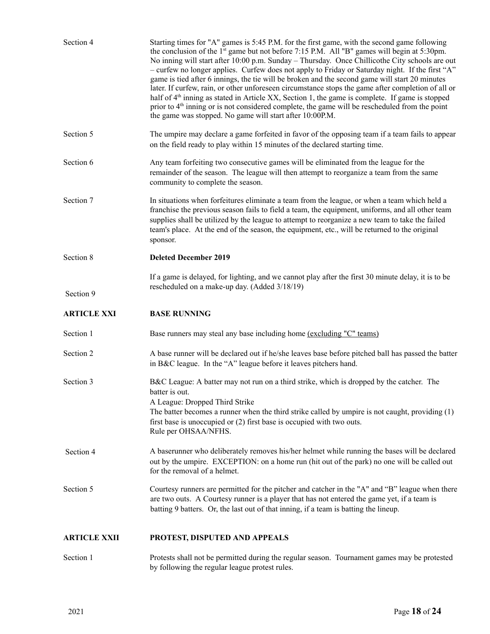| Section 4           | Starting times for "A" games is 5:45 P.M. for the first game, with the second game following<br>the conclusion of the 1 <sup>st</sup> game but not before 7:15 P.M. All "B" games will begin at 5:30pm.<br>No inning will start after 10:00 p.m. Sunday - Thursday. Once Chillicothe City schools are out<br>- curfew no longer applies. Curfew does not apply to Friday or Saturday night. If the first "A"<br>game is tied after 6 innings, the tie will be broken and the second game will start 20 minutes<br>later. If curfew, rain, or other unforeseen circumstance stops the game after completion of all or<br>half of $4th$ inning as stated in Article XX, Section 1, the game is complete. If game is stopped<br>prior to 4 <sup>th</sup> inning or is not considered complete, the game will be rescheduled from the point<br>the game was stopped. No game will start after 10:00P.M. |
|---------------------|-----------------------------------------------------------------------------------------------------------------------------------------------------------------------------------------------------------------------------------------------------------------------------------------------------------------------------------------------------------------------------------------------------------------------------------------------------------------------------------------------------------------------------------------------------------------------------------------------------------------------------------------------------------------------------------------------------------------------------------------------------------------------------------------------------------------------------------------------------------------------------------------------------|
| Section 5           | The umpire may declare a game forfeited in favor of the opposing team if a team fails to appear<br>on the field ready to play within 15 minutes of the declared starting time.                                                                                                                                                                                                                                                                                                                                                                                                                                                                                                                                                                                                                                                                                                                      |
| Section 6           | Any team forfeiting two consecutive games will be eliminated from the league for the<br>remainder of the season. The league will then attempt to reorganize a team from the same<br>community to complete the season.                                                                                                                                                                                                                                                                                                                                                                                                                                                                                                                                                                                                                                                                               |
| Section 7           | In situations when forfeitures eliminate a team from the league, or when a team which held a<br>franchise the previous season fails to field a team, the equipment, uniforms, and all other team<br>supplies shall be utilized by the league to attempt to reorganize a new team to take the failed<br>team's place. At the end of the season, the equipment, etc., will be returned to the original<br>sponsor.                                                                                                                                                                                                                                                                                                                                                                                                                                                                                    |
| Section 8           | <b>Deleted December 2019</b>                                                                                                                                                                                                                                                                                                                                                                                                                                                                                                                                                                                                                                                                                                                                                                                                                                                                        |
| Section 9           | If a game is delayed, for lighting, and we cannot play after the first 30 minute delay, it is to be<br>rescheduled on a make-up day. (Added 3/18/19)                                                                                                                                                                                                                                                                                                                                                                                                                                                                                                                                                                                                                                                                                                                                                |
|                     |                                                                                                                                                                                                                                                                                                                                                                                                                                                                                                                                                                                                                                                                                                                                                                                                                                                                                                     |
| <b>ARTICLE XXI</b>  | <b>BASE RUNNING</b>                                                                                                                                                                                                                                                                                                                                                                                                                                                                                                                                                                                                                                                                                                                                                                                                                                                                                 |
| Section 1           | Base runners may steal any base including home (excluding "C" teams)                                                                                                                                                                                                                                                                                                                                                                                                                                                                                                                                                                                                                                                                                                                                                                                                                                |
| Section 2           | A base runner will be declared out if he/she leaves base before pitched ball has passed the batter<br>in B&C league. In the "A" league before it leaves pitchers hand.                                                                                                                                                                                                                                                                                                                                                                                                                                                                                                                                                                                                                                                                                                                              |
| Section 3           | B&C League: A batter may not run on a third strike, which is dropped by the catcher. The<br>batter is out.<br>A League: Dropped Third Strike<br>The batter becomes a runner when the third strike called by umpire is not caught, providing $(1)$<br>first base is unoccupied or (2) first base is occupied with two outs.<br>Rule per OHSAA/NFHS.                                                                                                                                                                                                                                                                                                                                                                                                                                                                                                                                                  |
| Section 4           | A baserunner who deliberately removes his/her helmet while running the bases will be declared<br>out by the umpire. EXCEPTION: on a home run (hit out of the park) no one will be called out<br>for the removal of a helmet.                                                                                                                                                                                                                                                                                                                                                                                                                                                                                                                                                                                                                                                                        |
| Section 5           | Courtesy runners are permitted for the pitcher and catcher in the "A" and "B" league when there<br>are two outs. A Courtesy runner is a player that has not entered the game yet, if a team is<br>batting 9 batters. Or, the last out of that inning, if a team is batting the lineup.                                                                                                                                                                                                                                                                                                                                                                                                                                                                                                                                                                                                              |
| <b>ARTICLE XXII</b> | PROTEST, DISPUTED AND APPEALS                                                                                                                                                                                                                                                                                                                                                                                                                                                                                                                                                                                                                                                                                                                                                                                                                                                                       |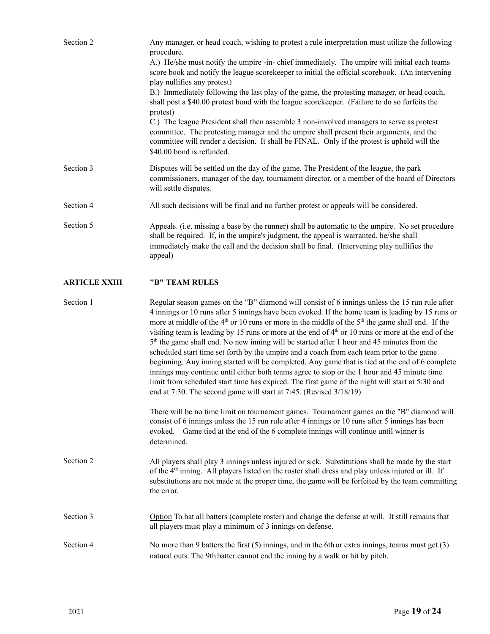| Section 2            | Any manager, or head coach, wishing to protest a rule interpretation must utilize the following<br>procedure.<br>A.) He/she must notify the umpire -in-chief immediately. The umpire will initial each teams<br>score book and notify the league scorekeeper to initial the official scorebook. (An intervening<br>play nullifies any protest)<br>B.) Immediately following the last play of the game, the protesting manager, or head coach,<br>shall post a \$40.00 protest bond with the league scorekeeper. (Failure to do so forfeits the<br>protest)<br>C.) The league President shall then assemble 3 non-involved managers to serve as protest<br>committee. The protesting manager and the umpire shall present their arguments, and the<br>committee will render a decision. It shall be FINAL. Only if the protest is upheld will the<br>\$40.00 bond is refunded. |
|----------------------|-------------------------------------------------------------------------------------------------------------------------------------------------------------------------------------------------------------------------------------------------------------------------------------------------------------------------------------------------------------------------------------------------------------------------------------------------------------------------------------------------------------------------------------------------------------------------------------------------------------------------------------------------------------------------------------------------------------------------------------------------------------------------------------------------------------------------------------------------------------------------------|
| Section 3            | Disputes will be settled on the day of the game. The President of the league, the park<br>commissioners, manager of the day, tournament director, or a member of the board of Directors<br>will settle disputes.                                                                                                                                                                                                                                                                                                                                                                                                                                                                                                                                                                                                                                                              |
| Section 4            | All such decisions will be final and no further protest or appeals will be considered.                                                                                                                                                                                                                                                                                                                                                                                                                                                                                                                                                                                                                                                                                                                                                                                        |
| Section 5            | Appeals. (i.e. missing a base by the runner) shall be automatic to the umpire. No set procedure<br>shall be required. If, in the umpire's judgment, the appeal is warranted, he/she shall<br>immediately make the call and the decision shall be final. (Intervening play nullifies the<br>appeal)                                                                                                                                                                                                                                                                                                                                                                                                                                                                                                                                                                            |
| <b>ARTICLE XXIII</b> | "B" TEAM RULES                                                                                                                                                                                                                                                                                                                                                                                                                                                                                                                                                                                                                                                                                                                                                                                                                                                                |
| Section 1            | Regular season games on the "B" diamond will consist of 6 innings unless the 15 run rule after<br>4 innings or 10 runs after 5 innings have been evoked. If the home team is leading by 15 runs or<br>more at middle of the $4th$ or 10 runs or more in the middle of the $5th$ the game shall end. If the<br>visiting team is leading by 15 runs or more at the end of $4th$ or 10 runs or more at the end of the<br>5 <sup>th</sup> the game shall end. No new inning will be started after 1 hour and 45 minutes from the                                                                                                                                                                                                                                                                                                                                                  |

scheduled start time set forth by the umpire and a coach from each team prior to the game beginning. Any inning started will be completed. Any game that is tied at the end of 6 complete innings may continue until either both teams agree to stop or the 1 hour and 45 minute time limit from scheduled start time has expired. The first game of the night will start at 5:30 and end at 7:30. The second game will start at 7:45. (Revised 3/18/19)

There will be no time limit on tournament games. Tournament games on the "B" diamond will consist of 6 innings unless the 15 run rule after 4 innings or 10 runs after 5 innings has been evoked. Game tied at the end of the 6 complete innings will continue until winner is determined.

Section 2 All players shall play 3 innings unless injured or sick. Substitutions shall be made by the start of the 4<sup>th</sup> inning. All players listed on the roster shall dress and play unless injured or ill. If substitutions are not made at the proper time, the game will be forfeited by the team committing the error.

Section 3 Option To bat all batters (complete roster) and change the defense at will. It still remains that all players must play a minimum of 3 innings on defense.

Section 4 No more than 9 batters the first (5) innings, and in the 6th or extra innings, teams must get (3) natural outs. The 9th batter cannot end the inning by a walk or hit by pitch.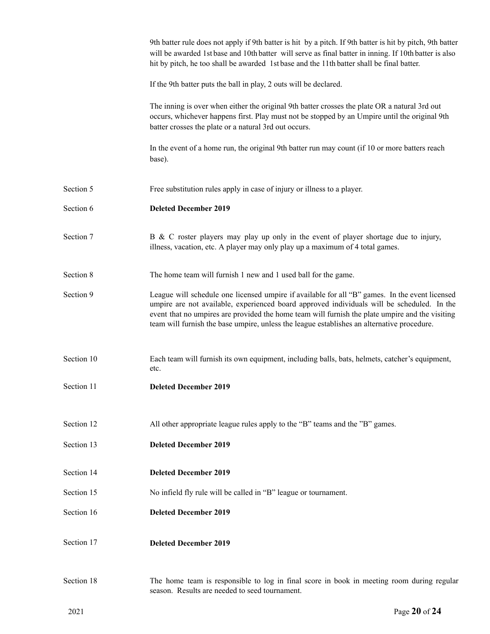|            | 9th batter rule does not apply if 9th batter is hit by a pitch. If 9th batter is hit by pitch, 9th batter<br>will be awarded 1st base and 10th batter will serve as final batter in inning. If 10th batter is also<br>hit by pitch, he too shall be awarded 1st base and the 11th batter shall be final batter.                                                                               |
|------------|-----------------------------------------------------------------------------------------------------------------------------------------------------------------------------------------------------------------------------------------------------------------------------------------------------------------------------------------------------------------------------------------------|
|            | If the 9th batter puts the ball in play, 2 outs will be declared.                                                                                                                                                                                                                                                                                                                             |
|            | The inning is over when either the original 9th batter crosses the plate OR a natural 3rd out<br>occurs, whichever happens first. Play must not be stopped by an Umpire until the original 9th<br>batter crosses the plate or a natural 3rd out occurs.                                                                                                                                       |
|            | In the event of a home run, the original 9th batter run may count (if 10 or more batters reach<br>base).                                                                                                                                                                                                                                                                                      |
| Section 5  | Free substitution rules apply in case of injury or illness to a player.                                                                                                                                                                                                                                                                                                                       |
| Section 6  | <b>Deleted December 2019</b>                                                                                                                                                                                                                                                                                                                                                                  |
| Section 7  | B & C roster players may play up only in the event of player shortage due to injury,<br>illness, vacation, etc. A player may only play up a maximum of 4 total games.                                                                                                                                                                                                                         |
| Section 8  | The home team will furnish 1 new and 1 used ball for the game.                                                                                                                                                                                                                                                                                                                                |
| Section 9  | League will schedule one licensed umpire if available for all "B" games. In the event licensed<br>umpire are not available, experienced board approved individuals will be scheduled. In the<br>event that no umpires are provided the home team will furnish the plate umpire and the visiting<br>team will furnish the base umpire, unless the league establishes an alternative procedure. |
| Section 10 | Each team will furnish its own equipment, including balls, bats, helmets, catcher's equipment,<br>etc.                                                                                                                                                                                                                                                                                        |
| Section 11 | <b>Deleted December 2019</b>                                                                                                                                                                                                                                                                                                                                                                  |
| Section 12 | All other appropriate league rules apply to the "B" teams and the "B" games.                                                                                                                                                                                                                                                                                                                  |
| Section 13 | <b>Deleted December 2019</b>                                                                                                                                                                                                                                                                                                                                                                  |
| Section 14 | <b>Deleted December 2019</b>                                                                                                                                                                                                                                                                                                                                                                  |
| Section 15 | No infield fly rule will be called in "B" league or tournament.                                                                                                                                                                                                                                                                                                                               |
| Section 16 | <b>Deleted December 2019</b>                                                                                                                                                                                                                                                                                                                                                                  |
| Section 17 | <b>Deleted December 2019</b>                                                                                                                                                                                                                                                                                                                                                                  |
| Section 18 | The home team is responsible to log in final score in book in meeting room during regular<br>season. Results are needed to seed tournament.                                                                                                                                                                                                                                                   |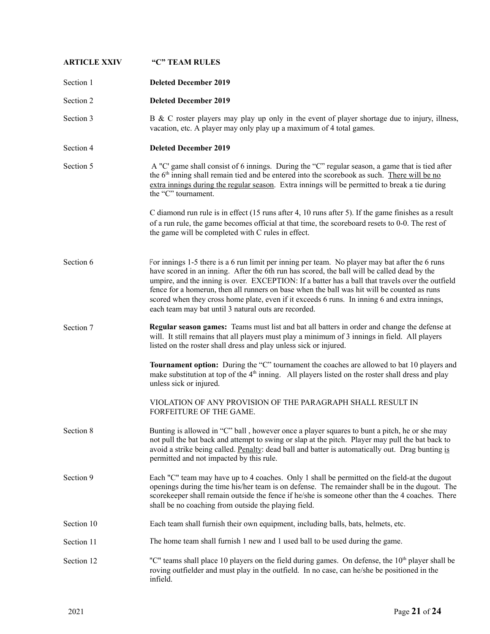| <b>ARTICLE XXIV</b> | "C" TEAM RULES                                                                                                                                                                                                                                                                                                                                                                                                                                                                                                                                           |
|---------------------|----------------------------------------------------------------------------------------------------------------------------------------------------------------------------------------------------------------------------------------------------------------------------------------------------------------------------------------------------------------------------------------------------------------------------------------------------------------------------------------------------------------------------------------------------------|
| Section 1           | <b>Deleted December 2019</b>                                                                                                                                                                                                                                                                                                                                                                                                                                                                                                                             |
| Section 2           | <b>Deleted December 2019</b>                                                                                                                                                                                                                                                                                                                                                                                                                                                                                                                             |
| Section 3           | B & C roster players may play up only in the event of player shortage due to injury, illness,<br>vacation, etc. A player may only play up a maximum of 4 total games.                                                                                                                                                                                                                                                                                                                                                                                    |
| Section 4           | <b>Deleted December 2019</b>                                                                                                                                                                                                                                                                                                                                                                                                                                                                                                                             |
| Section 5           | A "C' game shall consist of 6 innings. During the "C" regular season, a game that is tied after<br>the 6 <sup>th</sup> inning shall remain tied and be entered into the scorebook as such. There will be no<br>extra innings during the regular season. Extra innings will be permitted to break a tie during<br>the "C" tournament.                                                                                                                                                                                                                     |
|                     | C diamond run rule is in effect (15 runs after 4, 10 runs after 5). If the game finishes as a result<br>of a run rule, the game becomes official at that time, the scoreboard resets to 0-0. The rest of<br>the game will be completed with C rules in effect.                                                                                                                                                                                                                                                                                           |
| Section 6           | For innings 1-5 there is a 6 run limit per inning per team. No player may bat after the 6 runs<br>have scored in an inning. After the 6th run has scored, the ball will be called dead by the<br>umpire, and the inning is over. EXCEPTION: If a batter has a ball that travels over the outfield<br>fence for a homerun, then all runners on base when the ball was hit will be counted as runs<br>scored when they cross home plate, even if it exceeds 6 runs. In inning 6 and extra innings,<br>each team may bat until 3 natural outs are recorded. |
| Section 7           | Regular season games: Teams must list and bat all batters in order and change the defense at<br>will. It still remains that all players must play a minimum of 3 innings in field. All players<br>listed on the roster shall dress and play unless sick or injured.                                                                                                                                                                                                                                                                                      |
|                     | <b>Tournament option:</b> During the "C" tournament the coaches are allowed to bat 10 players and<br>make substitution at top of the $4th$ inning. All players listed on the roster shall dress and play<br>unless sick or injured.                                                                                                                                                                                                                                                                                                                      |
|                     | VIOLATION OF ANY PROVISION OF THE PARAGRAPH SHALL RESULT IN<br>FORFEITURE OF THE GAME.                                                                                                                                                                                                                                                                                                                                                                                                                                                                   |
| Section 8           | Bunting is allowed in "C" ball, however once a player squares to bunt a pitch, he or she may<br>not pull the bat back and attempt to swing or slap at the pitch. Player may pull the bat back to<br>avoid a strike being called. Penalty: dead ball and batter is automatically out. Drag bunting is<br>permitted and not impacted by this rule.                                                                                                                                                                                                         |
| Section 9           | Each "C" team may have up to 4 coaches. Only 1 shall be permitted on the field-at the dugout<br>openings during the time his/her team is on defense. The remainder shall be in the dugout. The<br>scorekeeper shall remain outside the fence if he/she is someone other than the 4 coaches. There<br>shall be no coaching from outside the playing field.                                                                                                                                                                                                |
| Section 10          | Each team shall furnish their own equipment, including balls, bats, helmets, etc.                                                                                                                                                                                                                                                                                                                                                                                                                                                                        |
| Section 11          | The home team shall furnish 1 new and 1 used ball to be used during the game.                                                                                                                                                                                                                                                                                                                                                                                                                                                                            |
| Section 12          | "C" teams shall place 10 players on the field during games. On defense, the $10th$ player shall be<br>roving outfielder and must play in the outfield. In no case, can he/she be positioned in the<br>infield.                                                                                                                                                                                                                                                                                                                                           |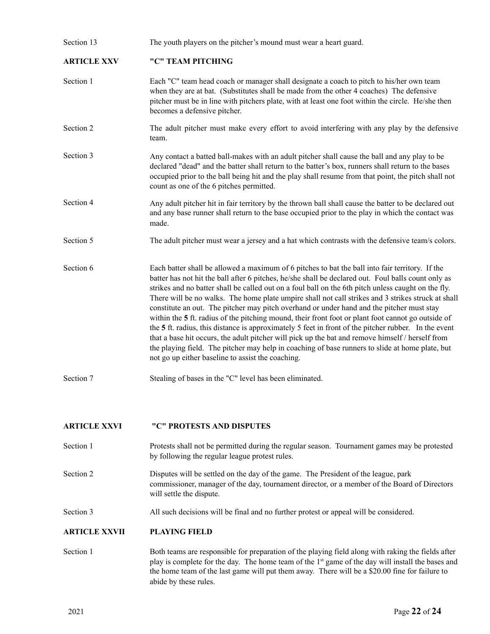| Section 13          | The youth players on the pitcher's mound must wear a heart guard.                                                                                                                                                                                                                                                                                                                                                                                                                                                                                                                                                                                                                                                                                                                                                                                                                                                                                                                          |
|---------------------|--------------------------------------------------------------------------------------------------------------------------------------------------------------------------------------------------------------------------------------------------------------------------------------------------------------------------------------------------------------------------------------------------------------------------------------------------------------------------------------------------------------------------------------------------------------------------------------------------------------------------------------------------------------------------------------------------------------------------------------------------------------------------------------------------------------------------------------------------------------------------------------------------------------------------------------------------------------------------------------------|
| <b>ARTICLE XXV</b>  | "C" TEAM PITCHING                                                                                                                                                                                                                                                                                                                                                                                                                                                                                                                                                                                                                                                                                                                                                                                                                                                                                                                                                                          |
| Section 1           | Each "C" team head coach or manager shall designate a coach to pitch to his/her own team<br>when they are at bat. (Substitutes shall be made from the other 4 coaches) The defensive<br>pitcher must be in line with pitchers plate, with at least one foot within the circle. He/she then<br>becomes a defensive pitcher.                                                                                                                                                                                                                                                                                                                                                                                                                                                                                                                                                                                                                                                                 |
| Section 2           | The adult pitcher must make every effort to avoid interfering with any play by the defensive<br>team.                                                                                                                                                                                                                                                                                                                                                                                                                                                                                                                                                                                                                                                                                                                                                                                                                                                                                      |
| Section 3           | Any contact a batted ball-makes with an adult pitcher shall cause the ball and any play to be<br>declared "dead" and the batter shall return to the batter's box, runners shall return to the bases<br>occupied prior to the ball being hit and the play shall resume from that point, the pitch shall not<br>count as one of the 6 pitches permitted.                                                                                                                                                                                                                                                                                                                                                                                                                                                                                                                                                                                                                                     |
| Section 4           | Any adult pitcher hit in fair territory by the thrown ball shall cause the batter to be declared out<br>and any base runner shall return to the base occupied prior to the play in which the contact was<br>made.                                                                                                                                                                                                                                                                                                                                                                                                                                                                                                                                                                                                                                                                                                                                                                          |
| Section 5           | The adult pitcher must wear a jersey and a hat which contrasts with the defensive team/s colors.                                                                                                                                                                                                                                                                                                                                                                                                                                                                                                                                                                                                                                                                                                                                                                                                                                                                                           |
| Section 6           | Each batter shall be allowed a maximum of 6 pitches to bat the ball into fair territory. If the<br>batter has not hit the ball after 6 pitches, he/she shall be declared out. Foul balls count only as<br>strikes and no batter shall be called out on a foul ball on the 6th pitch unless caught on the fly.<br>There will be no walks. The home plate umpire shall not call strikes and 3 strikes struck at shall<br>constitute an out. The pitcher may pitch overhand or under hand and the pitcher must stay<br>within the 5 ft. radius of the pitching mound, their front foot or plant foot cannot go outside of<br>the 5 ft. radius, this distance is approximately 5 feet in front of the pitcher rubber. In the event<br>that a base hit occurs, the adult pitcher will pick up the bat and remove himself / herself from<br>the playing field. The pitcher may help in coaching of base runners to slide at home plate, but<br>not go up either baseline to assist the coaching. |
| Section 7           | Stealing of bases in the "C" level has been eliminated.                                                                                                                                                                                                                                                                                                                                                                                                                                                                                                                                                                                                                                                                                                                                                                                                                                                                                                                                    |
| <b>ARTICLE XXVI</b> | "C" PROTESTS AND DISPUTES                                                                                                                                                                                                                                                                                                                                                                                                                                                                                                                                                                                                                                                                                                                                                                                                                                                                                                                                                                  |

- 
- Section 1 Protests shall not be permitted during the regular season. Tournament games may be protested by following the regular league protest rules.
- Section 2 Disputes will be settled on the day of the game. The President of the league, park commissioner, manager of the day, tournament director, or a member of the Board of Directors will settle the dispute.

Section 3 All such decisions will be final and no further protest or appeal will be considered.

## **ARTICLE XXVII PLAYING FIELD**

Section 1 Both teams are responsible for preparation of the playing field along with raking the fields after play is complete for the day. The home team of the 1<sup>st</sup> game of the day will install the bases and the home team of the last game will put them away. There will be a \$20.00 fine for failure to abide by these rules.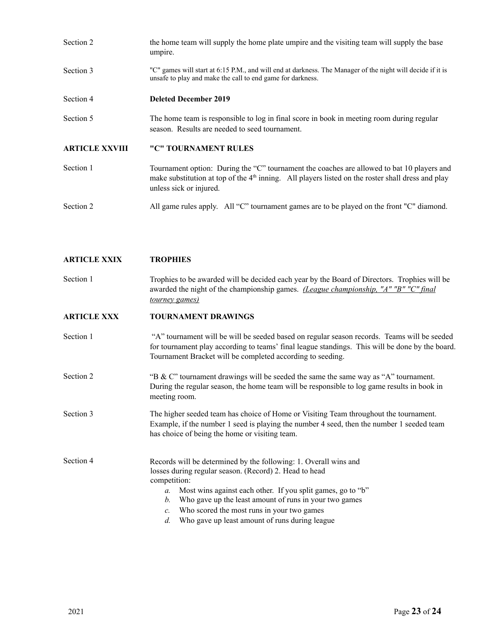| Section 2             | the home team will supply the home plate umpire and the visiting team will supply the base<br>umpire.                                                                                                                        |
|-----------------------|------------------------------------------------------------------------------------------------------------------------------------------------------------------------------------------------------------------------------|
| Section 3             | "C" games will start at 6:15 P.M., and will end at darkness. The Manager of the night will decide if it is<br>unsafe to play and make the call to end game for darkness.                                                     |
| Section 4             | <b>Deleted December 2019</b>                                                                                                                                                                                                 |
| Section 5             | The home team is responsible to log in final score in book in meeting room during regular<br>season. Results are needed to seed tournament.                                                                                  |
| <b>ARTICLE XXVIII</b> | "C" TOURNAMENT RULES                                                                                                                                                                                                         |
| Section 1             | Tournament option: During the "C" tournament the coaches are allowed to bat 10 players and<br>make substitution at top of the $4th$ inning. All players listed on the roster shall dress and play<br>unless sick or injured. |
| Section 2             | All game rules apply. All "C" tournament games are to be played on the front "C" diamond.                                                                                                                                    |

## **ARTICLE XXIX TROPHIES**

Section 1 Trophies to be awarded will be decided each year by the Board of Directors. Trophies will be awarded the night of the championship games. *(League championship, "A" "B" "C" final tourney games)*

## **ARTICLE XXX TOURNAMENT DRAWINGS**

Section 1 "A" tournament will be will be seeded based on regular season records. Teams will be seeded for tournament play according to teams' final league standings. This will be done by the board. Tournament Bracket will be completed according to seeding.

Section 2 "B & C" tournament drawings will be seeded the same the same way as "A" tournament. During the regular season, the home team will be responsible to log game results in book in meeting room.

Section 3 The higher seeded team has choice of Home or Visiting Team throughout the tournament. Example, if the number 1 seed is playing the number 4 seed, then the number 1 seeded team has choice of being the home or visiting team.

Section 4 Records will be determined by the following: 1. Overall wins and losses during regular season. (Record) 2. Head to head competition: *a.* Most wins against each other. If you split games, go to "b"

- *b.* Who gave up the least amount of runs in your two games
- *c.* Who scored the most runs in your two games
- *d.* Who gave up least amount of runs during league